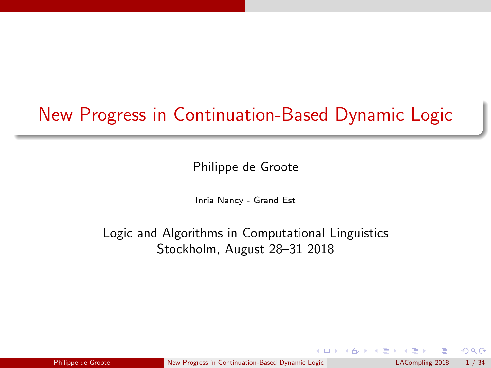# <span id="page-0-0"></span>New Progress in Continuation-Based Dynamic Logic

Philippe de Groote

Inria Nancy - Grand Est

Logic and Algorithms in Computational Linguistics Stockholm, August 28–31 2018

Philippe de Groote [New Progress in Continuation-Based Dynamic Logic](#page-150-0) LACompling 2018 1/34

 $\Omega$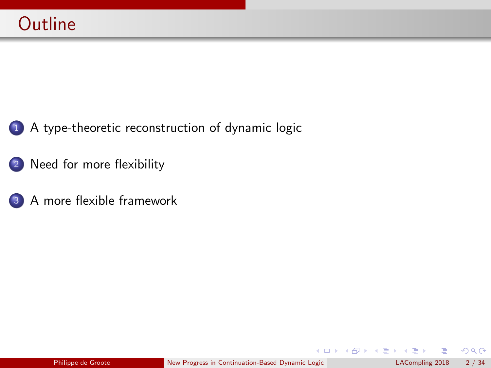- <sup>1</sup> [A type-theoretic reconstruction of dynamic logic](#page-2-0)
- 2 [Need for more flexibility](#page-87-0)
- <sup>3</sup> [A more flexible framework](#page-100-0)

 $299$ 

重

メロトメ 御下 メミトメ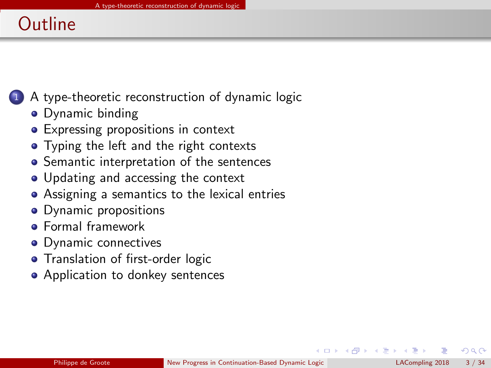# <span id="page-2-0"></span>Outline

<sup>1</sup> [A type-theoretic reconstruction of dynamic logic](#page-2-0)

- [Dynamic binding](#page-3-0)
- [Expressing propositions in context](#page-7-0)
- [Typing the left and the right contexts](#page-12-0)
- **•** [Semantic interpretation of the sentences](#page-23-0)
- [Updating and accessing the context](#page-28-0)
- [Assigning a semantics to the lexical entries](#page-50-0)
- [Dynamic propositions](#page-58-0)
- **•** [Formal framework](#page-62-0)
- [Dynamic connectives](#page-66-0)
- **[Translation of first-order logic](#page-76-0)**
- [Application to donkey sentences](#page-81-0)

4 D F

**10回上**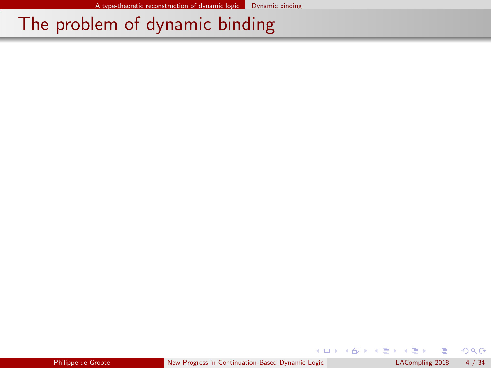<span id="page-3-0"></span>舌

 $299$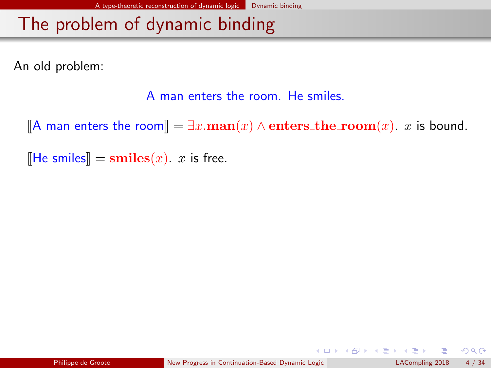<span id="page-4-0"></span>An old problem:

A man enters the room. He smiles.

 $\mathbb{A}$  man enters the room $\mathbb{I} = \exists x.\text{man}(x) \land \text{enters\_the\_room}(x)$ . x is bound.

 $\mathbb{H}$  He smiles  $=$  smiles $(x)$ . x is free.

 $\Omega$ 

イロト イ部ト イ君ト イ君)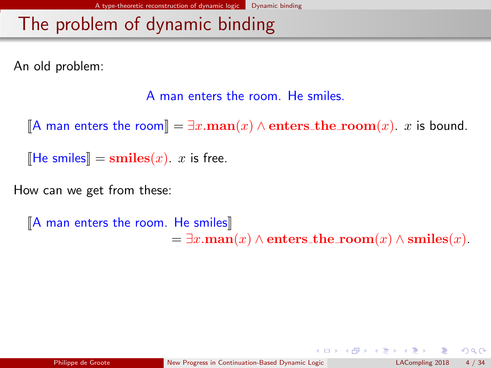<span id="page-5-0"></span>An old problem:

A man enters the room. He smiles.

 $\mathbb{A}$  man enters the room $\mathbb{I} = \exists x.\text{man}(x) \land \text{enters\_the\_room}(x)$ . x is bound.

 $\Vert$ He smiles $\Vert$  = smiles $(x)$ . x is free.

How can we get from these:

 $A$  man enters the room. He smiles  $=\exists x.\text{man}(x) \land \text{enters\_the\_room}(x) \land \text{smiles}(x).$ 

 $\Omega$ 

イロト イ部 トイモト イモト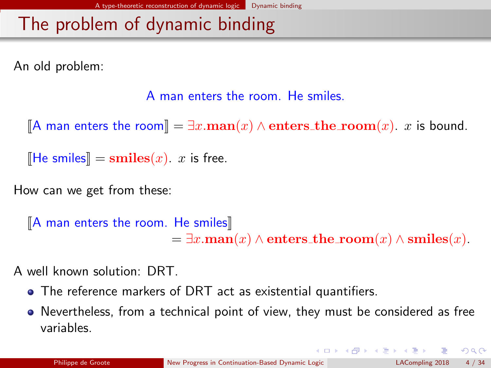<span id="page-6-0"></span>An old problem:

A man enters the room. He smiles.

 $\mathbb{A}$  man enters the room $\mathbb{I} = \exists x.\text{man}(x) \land \text{enters\_the\_room}(x)$ . x is bound.

 $\Vert$ He smiles $\Vert$  = smiles $(x)$ . x is free.

How can we get from these:

```
A man enters the room. He smiles
                    =\exists x.\text{man}(x) \land \text{enters\_the\_room}(x) \land \text{smiles}(x).
```
A well known solution: DRT.

- The reference markers of DRT act as existential quantifiers.
- Nevertheless, from a technical point of view, they must be considered as free variables.

 $\Omega$ 

 $\left\{ \begin{array}{ccc} 1 & 0 & 0 \\ 0 & 1 & 0 \end{array} \right\}$  ,  $\left\{ \begin{array}{ccc} 0 & 0 & 0 \\ 0 & 0 & 0 \end{array} \right\}$  ,  $\left\{ \begin{array}{ccc} 0 & 0 & 0 \\ 0 & 0 & 0 \end{array} \right\}$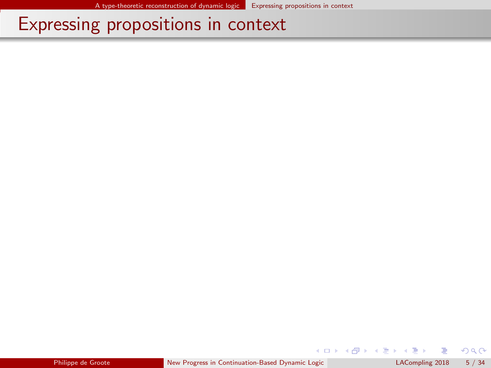$299$ 

<span id="page-7-0"></span>メロト メ御 トメ ヨ トメ ヨト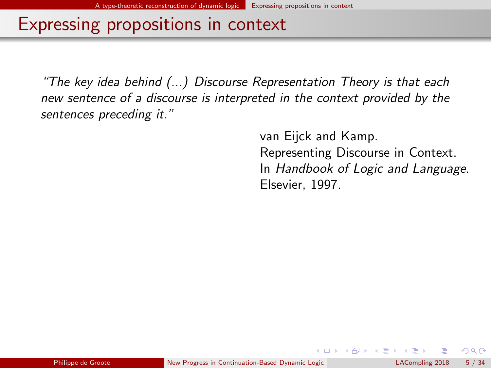<span id="page-8-0"></span>"The key idea behind (...) Discourse Representation Theory is that each new sentence of a discourse is interpreted in the context provided by the sentences preceding it."

> van Eijck and Kamp. Representing Discourse in Context. In Handbook of Logic and Language. Elsevier, 1997.

> > **K ロ ト K 何 ト K ヨ ト K**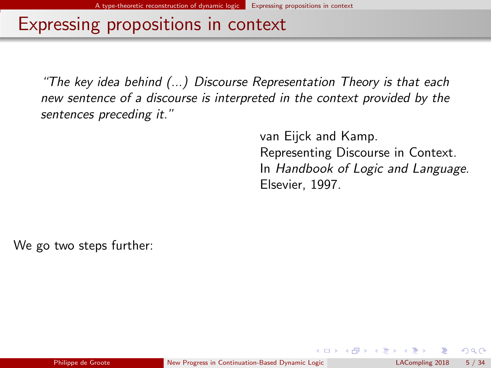<span id="page-9-0"></span>"The key idea behind (...) Discourse Representation Theory is that each new sentence of a discourse is interpreted in the context provided by the sentences preceding it."

> van Eijck and Kamp. Representing Discourse in Context. In Handbook of Logic and Language. Elsevier, 1997.

> > **K ロ ト K 何 ト K ヨ ト K**

We go two steps further: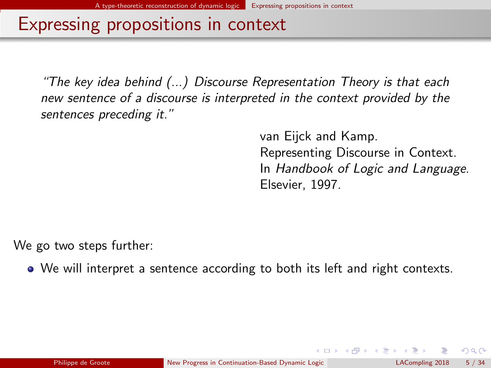<span id="page-10-0"></span>"The key idea behind (...) Discourse Representation Theory is that each new sentence of a discourse is interpreted in the context provided by the sentences preceding it."

> van Eijck and Kamp. Representing Discourse in Context. In Handbook of Logic and Language. Elsevier, 1997.

> > **K ロ ▶ - K 何 ▶ - K ヨ ▶ - K**

We go two steps further:

We will interpret a sentence according to both its left and right contexts.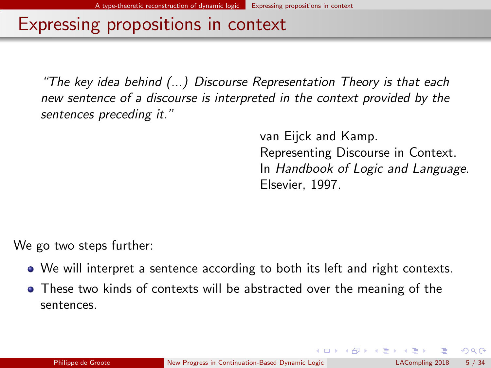<span id="page-11-0"></span>"The key idea behind (...) Discourse Representation Theory is that each new sentence of a discourse is interpreted in the context provided by the sentences preceding it."

> van Eijck and Kamp. Representing Discourse in Context. In Handbook of Logic and Language. Elsevier, 1997.

> > $\left\{ \begin{array}{ccc} 1 & 0 & 0 \\ 0 & 1 & 0 \end{array} \right\}$  ,  $\left\{ \begin{array}{ccc} 0 & 0 & 0 \\ 0 & 0 & 0 \end{array} \right\}$  ,  $\left\{ \begin{array}{ccc} 0 & 0 & 0 \\ 0 & 0 & 0 \end{array} \right\}$

We go two steps further:

- We will interpret a sentence according to both its left and right contexts.
- **•** These two kinds of contexts will be abstracted over the meaning of the sentences.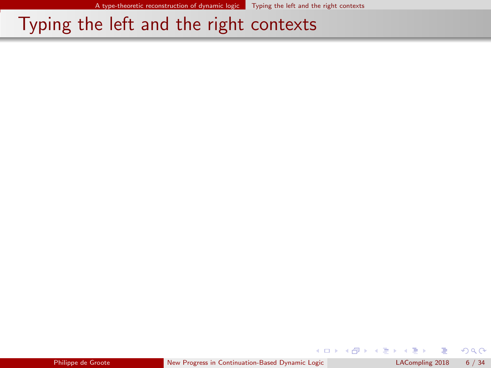$298$ 

<span id="page-12-0"></span>メロト メ御 トメ きょ メきょ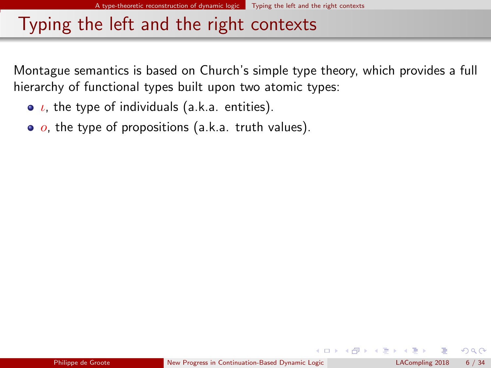<span id="page-13-0"></span>Montague semantics is based on Church's simple type theory, which provides a full hierarchy of functional types built upon two atomic types:

- $\bullet$   $\iota$ , the type of individuals (a.k.a. entities).
- $\bullet$   $\sigma$ , the type of propositions (a.k.a. truth values).

 $\Omega$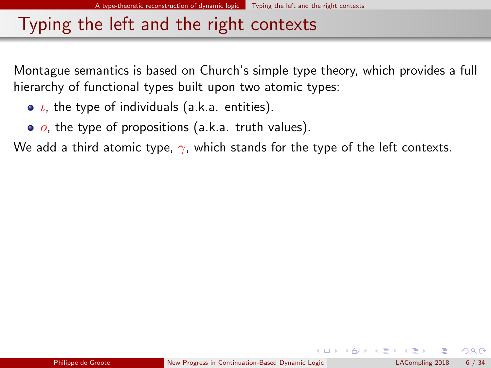<span id="page-14-0"></span>Montague semantics is based on Church's simple type theory, which provides a full hierarchy of functional types built upon two atomic types:

- $\bullet$   $\iota$ , the type of individuals (a.k.a. entities).
- $\bullet$   $o$ , the type of propositions (a.k.a. truth values).

We add a third atomic type,  $\gamma$ , which stands for the type of the left contexts.

 $\Omega$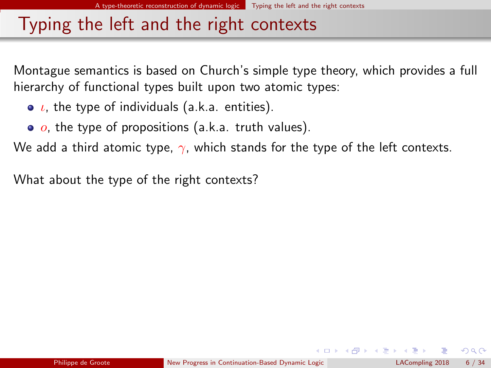<span id="page-15-0"></span>Montague semantics is based on Church's simple type theory, which provides a full hierarchy of functional types built upon two atomic types:

- $\bullet$   $\iota$ , the type of individuals (a.k.a. entities).
- $\bullet$   $o$ , the type of propositions (a.k.a. truth values).

We add a third atomic type,  $\gamma$ , which stands for the type of the left contexts.

What about the type of the right contexts?

 $\Omega$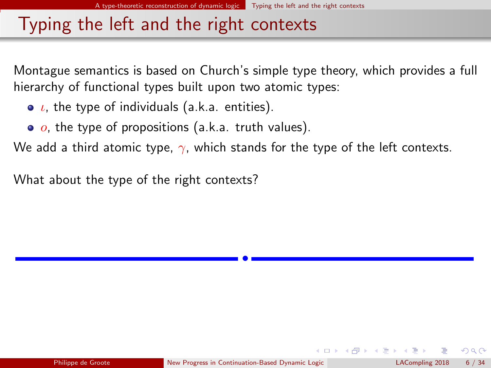<span id="page-16-0"></span>Montague semantics is based on Church's simple type theory, which provides a full hierarchy of functional types built upon two atomic types:

- $\bullet$   $\iota$ , the type of individuals (a.k.a. entities).
- $\bullet$   $o$ , the type of propositions (a.k.a. truth values).

We add a third atomic type,  $\gamma$ , which stands for the type of the left contexts.

What about the type of the right contexts?

•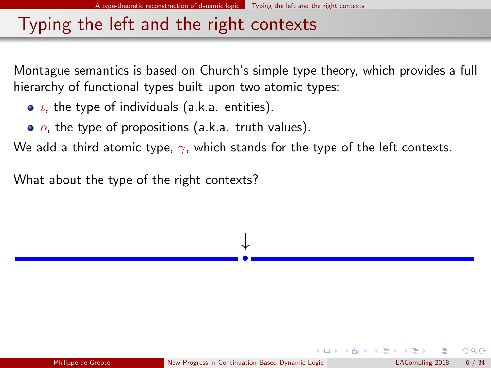<span id="page-17-0"></span>Montague semantics is based on Church's simple type theory, which provides a full hierarchy of functional types built upon two atomic types:

- $\bullet$   $\iota$ , the type of individuals (a.k.a. entities).
- $\bullet$   $o$ , the type of propositions (a.k.a. truth values).

We add a third atomic type,  $\gamma$ , which stands for the type of the left contexts.

What about the type of the right contexts?

• ↓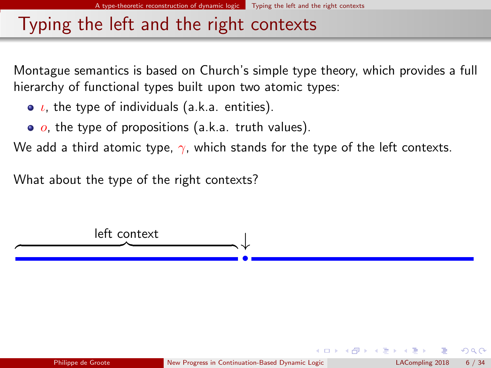<span id="page-18-0"></span>Montague semantics is based on Church's simple type theory, which provides a full hierarchy of functional types built upon two atomic types:

- $\bullet$   $\iota$ , the type of individuals (a.k.a. entities).
- $\bullet$   $o$ , the type of propositions (a.k.a. truth values).

We add a third atomic type,  $\gamma$ , which stands for the type of the left contexts.

What about the type of the right contexts?

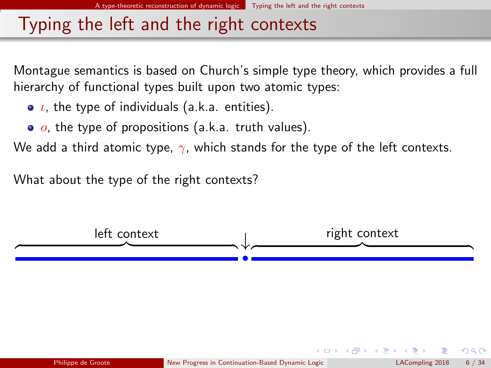<span id="page-19-0"></span>Montague semantics is based on Church's simple type theory, which provides a full hierarchy of functional types built upon two atomic types:

- $\bullet$   $\iota$ , the type of individuals (a.k.a. entities).
- $\bullet$   $o$ , the type of propositions (a.k.a. truth values).

We add a third atomic type,  $\gamma$ , which stands for the type of the left contexts.

What about the type of the right contexts?

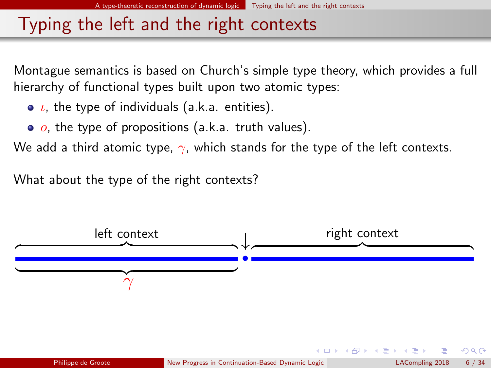<span id="page-20-0"></span>Montague semantics is based on Church's simple type theory, which provides a full hierarchy of functional types built upon two atomic types:

- $\bullet$   $\iota$ , the type of individuals (a.k.a. entities).
- $\bullet$   $o$ , the type of propositions (a.k.a. truth values).

We add a third atomic type,  $\gamma$ , which stands for the type of the left contexts.

What about the type of the right contexts?

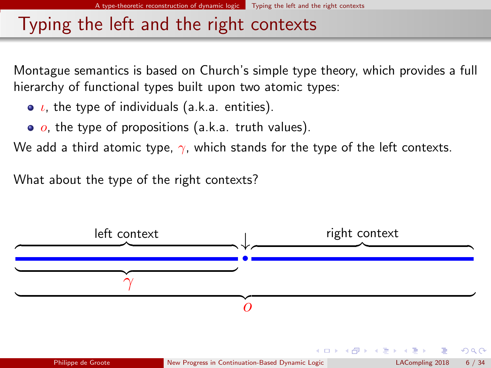<span id="page-21-0"></span>Montague semantics is based on Church's simple type theory, which provides a full hierarchy of functional types built upon two atomic types:

- $\bullet$   $\iota$ , the type of individuals (a.k.a. entities).
- $\bullet$   $o$ , the type of propositions (a.k.a. truth values).

We add a third atomic type,  $\gamma$ , which stands for the type of the left contexts.

What about the type of the right contexts?

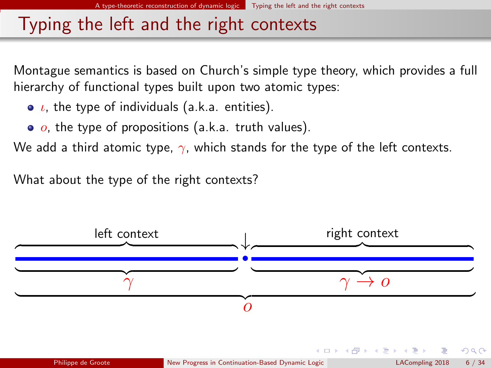<span id="page-22-0"></span>Montague semantics is based on Church's simple type theory, which provides a full hierarchy of functional types built upon two atomic types:

- $\bullet$   $\iota$ , the type of individuals (a.k.a. entities).
- $\bullet$   $o$ , the type of propositions (a.k.a. truth values).

We add a third atomic type,  $\gamma$ , which stands for the type of the left contexts.

What about the type of the right contexts?

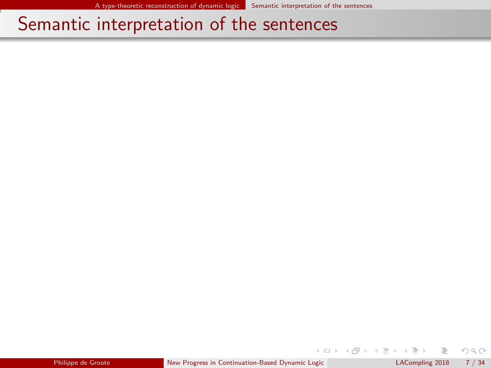$299$ 

<span id="page-23-0"></span> $\left\{ \begin{array}{ccc} 1 & 0 & 0 \\ 0 & 1 & 0 \end{array} \right\}$  ,  $\left\{ \begin{array}{ccc} 0 & 0 & 0 \\ 0 & 0 & 0 \end{array} \right\}$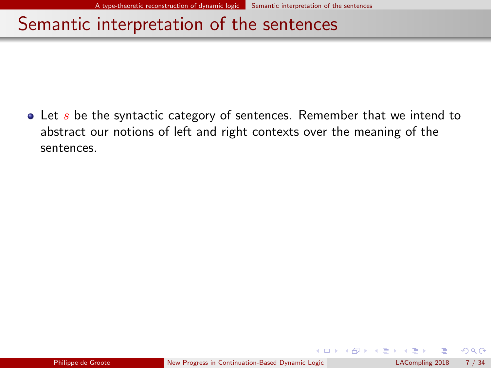<span id="page-24-0"></span> $\bullet$  Let s be the syntactic category of sentences. Remember that we intend to abstract our notions of left and right contexts over the meaning of the sentences.

 $\Omega$ 

(□ ) ( n ) ( 三 )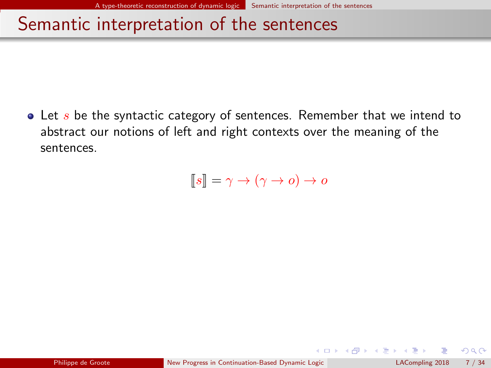<span id="page-25-0"></span> $\bullet$  Let s be the syntactic category of sentences. Remember that we intend to abstract our notions of left and right contexts over the meaning of the sentences.

 $\llbracket s \rrbracket = \gamma \rightarrow (\gamma \rightarrow o) \rightarrow o$ 

 $\Omega$ 

 $\left\{ \begin{array}{ccc} 1 & 0 & 0 \\ 0 & 1 & 0 \end{array} \right\}$  ,  $\left\{ \begin{array}{ccc} 0 & 0 & 0 \\ 0 & 0 & 0 \end{array} \right\}$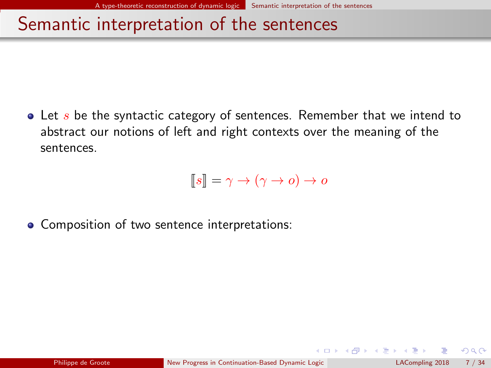<span id="page-26-0"></span> $\bullet$  Let s be the syntactic category of sentences. Remember that we intend to abstract our notions of left and right contexts over the meaning of the sentences.

 $\llbracket s \rrbracket = \gamma \rightarrow (\gamma \rightarrow o) \rightarrow o$ 

• Composition of two sentence interpretations:

 $\Omega$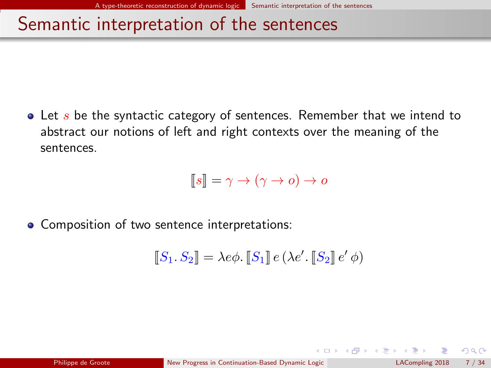<span id="page-27-0"></span> $\bullet$  Let s be the syntactic category of sentences. Remember that we intend to abstract our notions of left and right contexts over the meaning of the sentences.

$$
[\![s]\!] = \gamma \to (\gamma \to o) \to o
$$

• Composition of two sentence interpretations:

$$
\llbracket S_1. S_2 \rrbracket = \lambda e\phi. \llbracket S_1 \rrbracket e \left( \lambda e'. \llbracket S_2 \rrbracket e' \phi \right)
$$

 $\Omega$ 

(□ ) ( n ) ( 三 )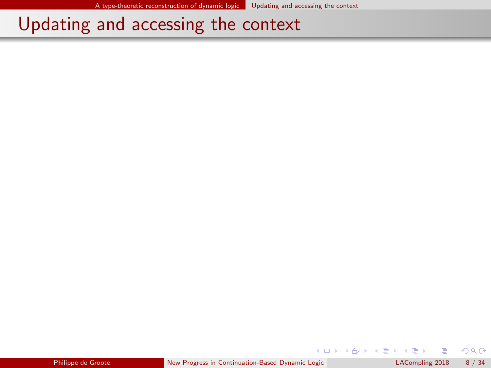$299$ 

<span id="page-28-0"></span>イロト イ部ト イ君ト イ君)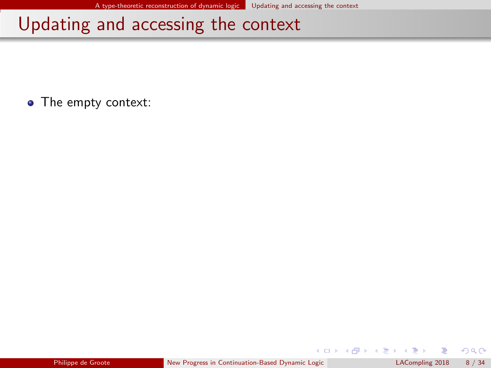<span id="page-29-0"></span>• The empty context:

 $\equiv$ 

 $299$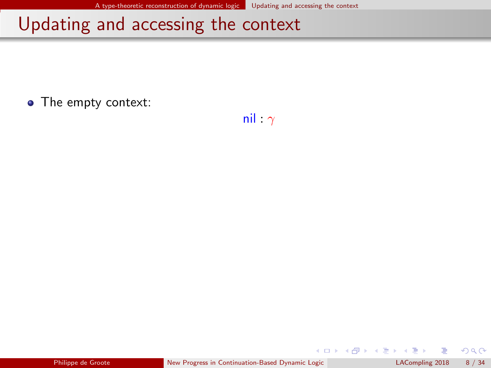<span id="page-30-0"></span>• The empty context:

nil :  $\gamma$ 

 $\equiv$ 

 $299$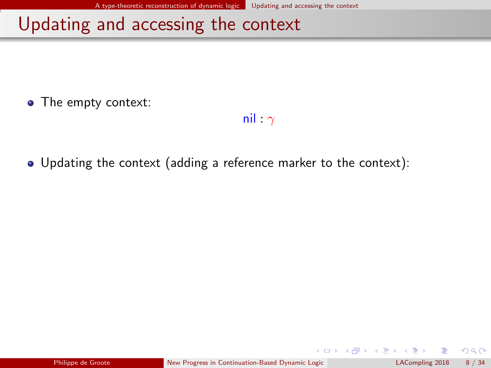<span id="page-31-0"></span>• The empty context:

nil :  $\gamma$ 

Updating the context (adding a reference marker to the context):

**K ロ ▶ - K 何 ▶ - K ヨ ▶ - K**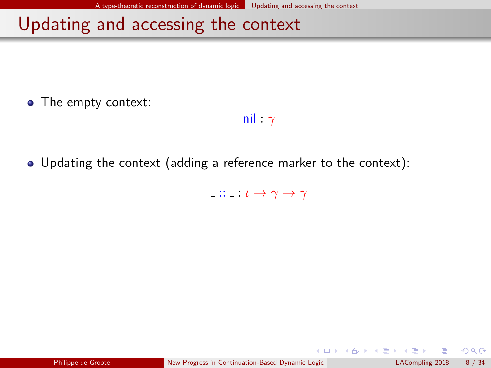<span id="page-32-0"></span>• The empty context:

nil :  $\gamma$ 

Updating the context (adding a reference marker to the context):

:::  $: \iota \to \gamma \to \gamma$ 

 $\Omega$ 

 $\left\{ \begin{array}{ccc} 1 & 0 & 0 \\ 0 & 1 & 0 \end{array} \right.$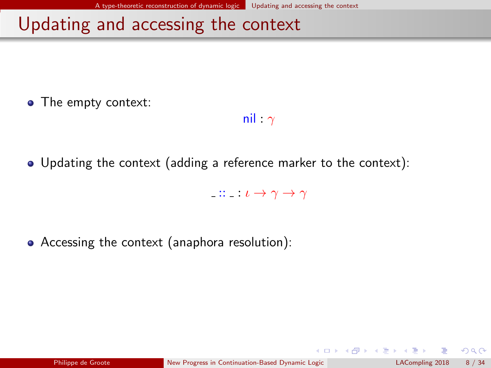<span id="page-33-0"></span>• The empty context:

nil :  $\gamma$ 

Updating the context (adding a reference marker to the context):

:::  $: \iota \to \gamma \to \gamma$ 

• Accessing the context (anaphora resolution):

 $\Omega$ 

 $\left\{ \begin{array}{ccc} 1 & 0 & 0 \\ 0 & 1 & 0 \end{array} \right.$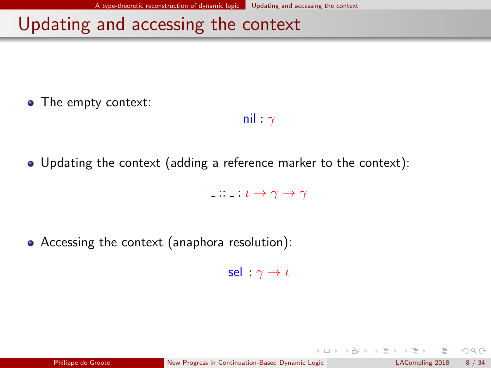<span id="page-34-0"></span>• The empty context:

nil :  $\gamma$ 

Updating the context (adding a reference marker to the context):

:::  $: \iota \to \gamma \to \gamma$ 

• Accessing the context (anaphora resolution):

sel :  $\gamma \rightarrow \iota$ 

 $\Omega$ 

**K ロ ト K 御 ト K 澄 ト K 差 ト**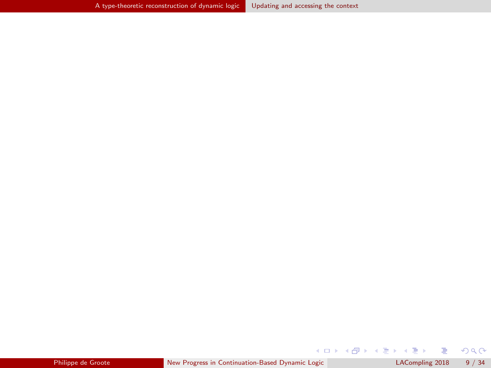$299$ 

<span id="page-35-0"></span> $A \equiv \lambda$  ,  $A \equiv \lambda$  ,  $A \equiv \lambda$  ,  $A \equiv \lambda$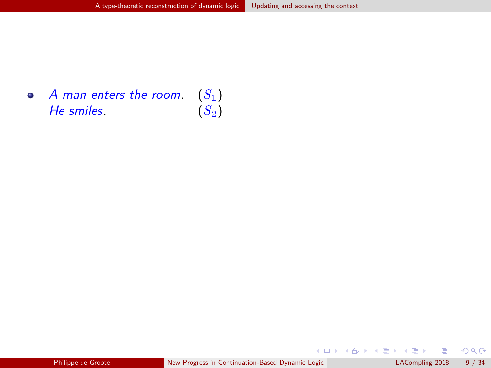<span id="page-36-0"></span>• A man enters the room.  $(S_1)$ <br>He smiles.  $(S_2)$ He smiles.

 $299$ 

**K ロ ト K 御 ト K 澄 ト K 差 ト**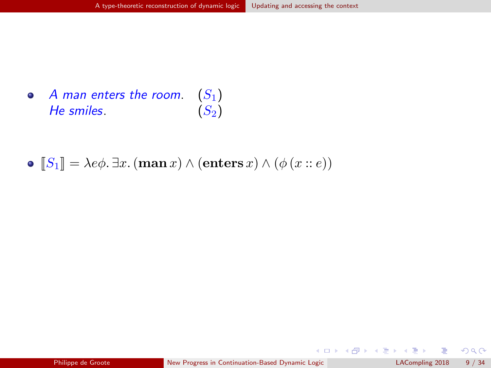- <span id="page-37-0"></span>A man enters the room.  $(S_1)$ <br>He smiles.  $(S_2)$  $\bullet$ He smiles.
- $\bullet$   $\llbracket S_1 \rrbracket = \lambda e \phi$ .  $\exists x. (\text{man } x) \wedge (\text{enters } x) \wedge (\phi(x::e))$

 $299$ 

メロト メ都 トメ ヨ トメ ヨト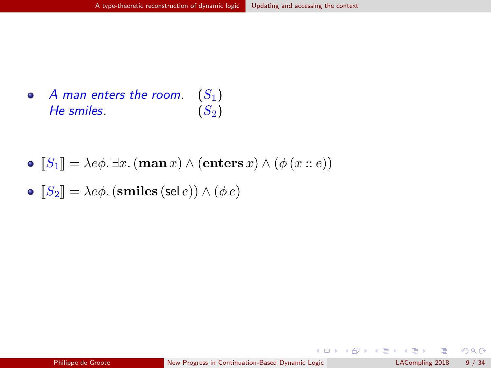- <span id="page-38-0"></span>A man enters the room.  $(S_1)$ <br>He smiles.  $(S_2)$  $\bullet$ He smiles.
- $\bullet$   $\llbracket S_1 \rrbracket = \lambda e \phi$ .  $\exists x. (\text{man } x) \wedge (\text{enters } x) \wedge (\phi(x::e))$
- $\bullet$   $\llbracket S_2 \rrbracket = \lambda e\phi$ . (smiles (sel e))  $\wedge$  ( $\phi$  e)

 $2990$ 

メロメ メ御き メミメ メミメ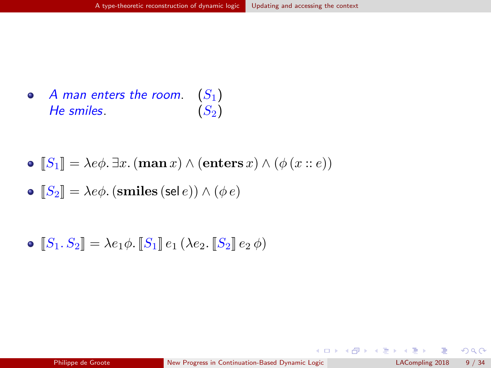<span id="page-39-0"></span>• A man enters the room.  $(S_1)$ <br>He smiles.  $(S_2)$ He smiles.

• 
$$
[S_1] = \lambda e \phi \cdot \exists x \cdot (\mathbf{man}\, x) \land (\mathbf{enters}\, x) \land (\phi(x :: e))
$$

• 
$$
[S_2] = \lambda e \phi
$$
. (smiles (sel *e*))  $\wedge (\phi e)$ 

$$
\bullet \ [S_1.S_2] = \lambda e_1 \phi. [S_1] \ e_1 (\lambda e_2. [S_2] \ e_2 \ \phi)
$$

 $299$ 

**K ロ ト K 御 ト K 澄 ト K 差 ト**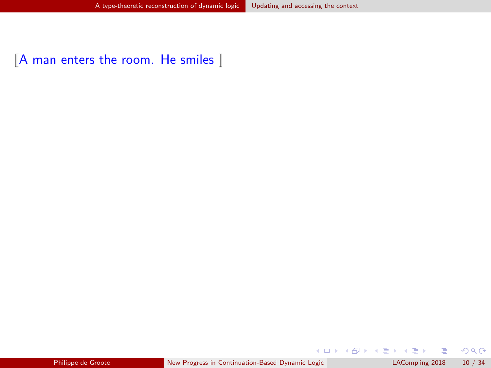<span id="page-40-0"></span> $\parallel$ A man enters the room. He smiles  $\parallel$ 

 $299$ 

メロメ メ都 メメ君 メメ君 メ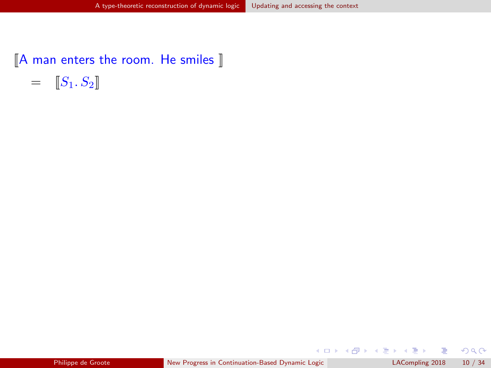## <span id="page-41-0"></span> $\parallel$ A man enters the room. He smiles  $\parallel$

 $=$   $[S_1, S_2]$ 

 $299$ 

K ロ X K 個 X K 差 X K 差 X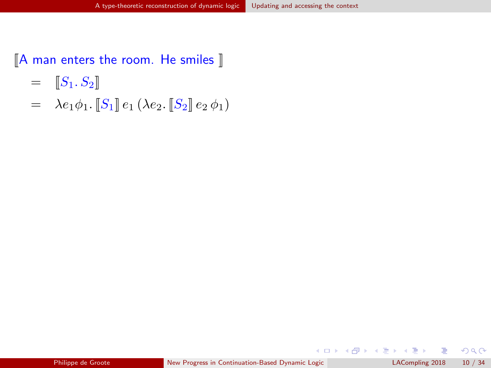- <span id="page-42-0"></span> $=$   $[S_1, S_2]$
- $= \lambda e_1 \phi_1$ .  $\llbracket S_1 \rrbracket e_1 (\lambda e_2$ .  $\llbracket S_2 \rrbracket e_2 \phi_1)$

 $299$ 

メロト メ都 トメ ヨ トメ ヨト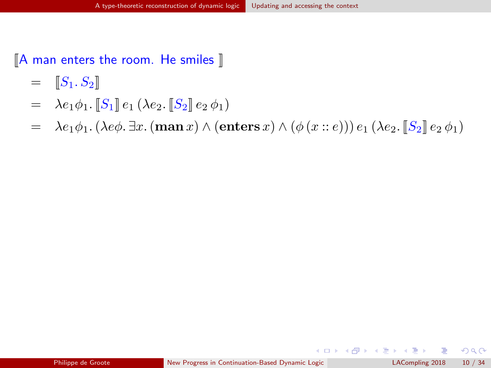- <span id="page-43-0"></span>=  $[S_1, S_2]$ <br>=  $\lambda e_1 \phi_1$ .
- $\lambda e_1 \phi_1$ .  $\llbracket S_1 \rrbracket e_1 (\lambda e_2$ .  $\llbracket S_2 \rrbracket e_2 \phi_1$
- $= \lambda e_1 \phi_1.(\lambda e \phi \cdot \exists x.(\mathbf{man} x) \wedge (\mathbf{enters} x) \wedge (\phi(x::e))) e_1 (\lambda e_2. \llbracket S_2 \rrbracket e_2 \phi_1)$

 $\Omega$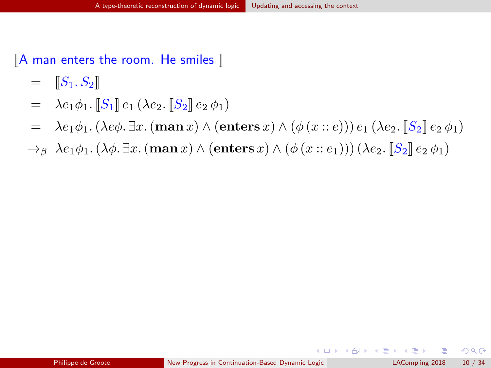- <span id="page-44-0"></span> $=$   $[[S_1, S_2]]$
- $= \lambda e_1 \phi_1$ .  $\llbracket S_1 \rrbracket e_1 (\lambda e_2$ .  $\llbracket S_2 \rrbracket e_2 \phi_1)$
- $= \lambda e_1 \phi_1.(\lambda e \phi \cdot \exists x.(\mathbf{man} x) \wedge (\mathbf{enters} x) \wedge (\phi(x::e))) e_1 (\lambda e_2. \llbracket S_2 \rrbracket e_2 \phi_1)$
- $\rightarrow_{\beta} \lambda e_1 \phi_1.(\lambda \phi. \exists x. (\mathbf{man} x) \wedge (\mathbf{enters} x) \wedge (\phi(x::e_1))) (\lambda e_2. \llbracket S_2 \rrbracket e_2 \phi_1)$

イロト イ押ト イヨト イヨト

 $\Omega$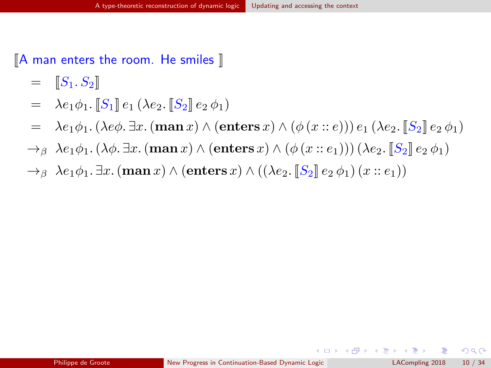- <span id="page-45-0"></span> $=$   $[[S_1, S_2]]$
- $= \lambda e_1 \phi_1$ .  $\llbracket S_1 \rrbracket e_1 (\lambda e_2$ .  $\llbracket S_2 \rrbracket e_2 \phi_1)$
- $= \lambda e_1 \phi_1.(\lambda e \phi \cdot \exists x.(\textbf{man } x) \wedge (\textbf{enters } x) \wedge (\phi(x::e))) e_1 (\lambda e_2. [S_2] e_2 \phi_1)$
- $\rightarrow$ <sub>β</sub>  $\lambda e_1 \phi_1$ . ( $\lambda \phi$ .  $\exists x$ . (man x)  $\wedge$  (enters x)  $\wedge$  ( $\phi$  (x ::  $e_1$ ))) ( $\lambda e_2$ .  $\llbracket S_2 \rrbracket e_2 \phi_1$ )
- $\rightarrow$ <sub>β</sub>  $\lambda e_1 \phi_1$ .  $\exists x.$  (man x)  $\wedge$  (enters x)  $\wedge$  (( $\lambda e_2$ .  $\llbracket S_2 \rrbracket e_2 \phi_1$ ) (x ::  $e_1$ ))

 $\Omega$ 

( ロ ) ( 何 ) ( ヨ ) ( ヨ )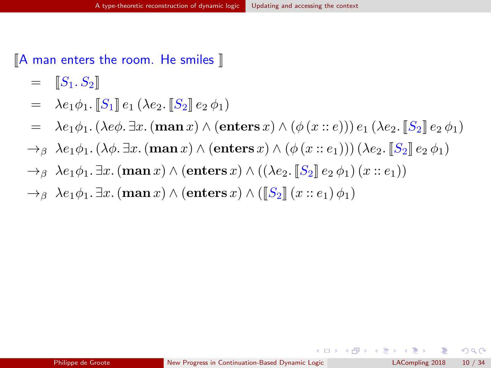- <span id="page-46-0"></span> $=$   $[[S_1, S_2]]$
- $= \lambda e_1 \phi_1$ .  $\llbracket S_1 \rrbracket e_1 (\lambda e_2$ .  $\llbracket S_2 \rrbracket e_2 \phi_1)$
- $= \lambda e_1 \phi_1.(\lambda e \phi \cdot \exists x.(\textbf{man } x) \wedge (\textbf{enters } x) \wedge (\phi(x::e))) e_1 (\lambda e_2. [S_2] e_2 \phi_1)$
- $\rightarrow$ <sub>β</sub>  $\lambda e_1 \phi_1$ . ( $\lambda \phi$ .  $\exists x$ . (man x)  $\wedge$  (enters x)  $\wedge$  ( $\phi$  (x ::  $e_1$ ))) ( $\lambda e_2$ .  $\llbracket S_2 \rrbracket e_2 \phi_1$ )
- $\rightarrow$ <sub>β</sub>  $\lambda e_1 \phi_1$ .  $\exists x.$  (man x)  $\wedge$  (enters x)  $\wedge$  (( $\lambda e_2$ .  $\llbracket S_2 \rrbracket e_2 \phi_1$ ) (x ::  $e_1$ ))
- $\rightarrow$ <sub>β</sub>  $\lambda e_1 \phi_1$ .  $\exists x.$  (man  $x) \wedge$  (enters  $x) \wedge (\llbracket S_2 \rrbracket (x :: e_1) \phi_1)$

 $\Omega$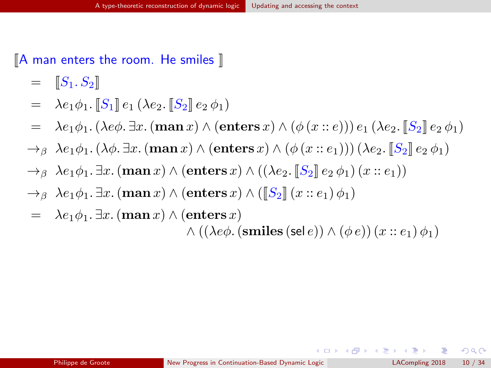- <span id="page-47-0"></span> $=$   $[[S_1, S_2]]$
- $= \lambda e_1 \phi_1$ .  $\llbracket S_1 \rrbracket e_1 (\lambda e_2$ .  $\llbracket S_2 \rrbracket e_2 \phi_1)$
- $= \lambda e_1 \phi_1.(\lambda e \phi \cdot \exists x.(\textbf{man } x) \wedge (\textbf{enters } x) \wedge (\phi(x::e))) e_1 (\lambda e_2. [S_2] e_2 \phi_1)$
- $\rightarrow$ <sub>β</sub>  $\lambda e_1 \phi_1$ . ( $\lambda \phi$ .  $\exists x$ . (man x)  $\wedge$  (enters x)  $\wedge$  ( $\phi$  (x ::  $e_1$ ))) ( $\lambda e_2$ .  $\llbracket S_2 \rrbracket e_2 \phi_1$ )
- $\rightarrow$ <sub>β</sub>  $\lambda e_1 \phi_1 \cdot \exists x.$  (man x)  $\wedge$  (enters x)  $\wedge$  (( $\lambda e_2$ .  $\llbracket S_2 \rrbracket e_2 \phi_1$ ) (x ::  $e_1$ ))
- $\rightarrow$ <sub>β</sub>  $\lambda e_1 \phi_1$ .  $\exists x.$  (man x)  $\wedge$  (enters x)  $\wedge$  ([S<sub>2</sub>]] (x :: e<sub>1</sub>)  $\phi_1$ )
- $= \lambda e_1 \phi_1 \cdot \exists x \cdot (\text{man } x) \wedge (\text{enters } x)$  $\wedge ((\lambda e\phi.(\textbf{smiles}(\textbf{sel }e)) \wedge (\phi e))(x:: e_1)\phi_1)$

 $\Omega$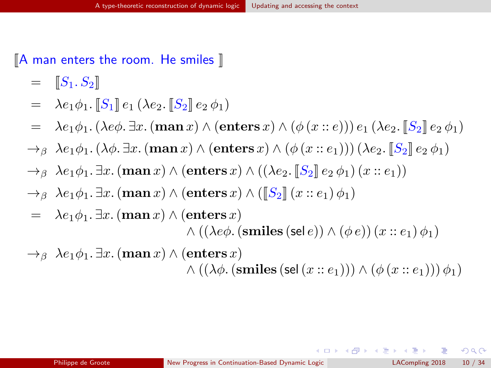<span id="page-48-0"></span> $=$   $[[S_1, S_2]]$ 

- $= \lambda e_1 \phi_1$ .  $\llbracket S_1 \rrbracket e_1 (\lambda e_2$ .  $\llbracket S_2 \rrbracket e_2 \phi_1)$
- $= \lambda e_1 \phi_1.(\lambda e \phi \cdot \exists x.(\textbf{man } x) \wedge (\textbf{enters } x) \wedge (\phi(x::e))) e_1 (\lambda e_2. [S_2] e_2 \phi_1)$
- $\rightarrow$ <sub>β</sub>  $\lambda e_1 \phi_1$ . ( $\lambda \phi$ .  $\exists x$ . (man x)  $\wedge$  (enters x)  $\wedge$  ( $\phi$  (x ::  $e_1$ ))) ( $\lambda e_2$ .  $\llbracket S_2 \rrbracket e_2 \phi_1$ )
- $\rightarrow$ <sub>β</sub>  $\lambda e_1 \phi_1 \cdot \exists x.$  (man x)  $\wedge$  (enters x)  $\wedge$  (( $\lambda e_2$ .  $\llbracket S_2 \rrbracket e_2 \phi_1$ ) (x ::  $e_1$ ))
- $\rightarrow$ <sub>β</sub>  $\lambda e_1 \phi_1$ .  $\exists x.$  (man  $x) \wedge$  (enters  $x) \wedge (\llbracket S_2 \rrbracket (x :: e_1) \phi_1)$
- $= \lambda e_1 \phi_1 \cdot \exists x \cdot (\mathbf{man} x) \wedge (\mathbf{enters} x)$  $\wedge ((\lambda e\phi.(\textbf{smiles}(\textbf{sel }e)) \wedge (\phi e))(x:: e_1)\phi_1)$
- $\rightarrow$ <sub>β</sub>  $\lambda e_1 \phi_1$ .  $\exists x$ . (man x)  $\wedge$  (enters x)  $\wedge ((\lambda \phi.(\textbf{smiles}(\textbf{sel}(x :: e_1))) \wedge (\phi(x :: e_1))) \phi_1)$

 $209$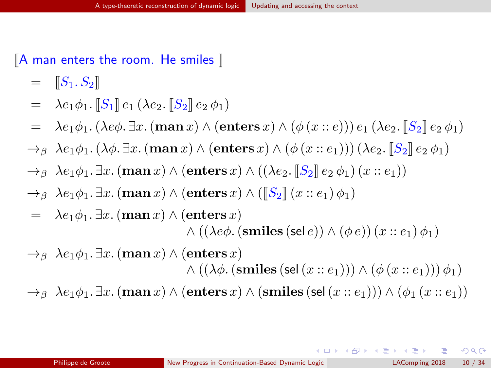<span id="page-49-0"></span> $=$   $[[S_1, S_2]]$ 

- $= \lambda e_1 \phi_1$ .  $\llbracket S_1 \rrbracket e_1 (\lambda e_2$ .  $\llbracket S_2 \rrbracket e_2 \phi_1$
- $= \lambda e_1 \phi_1.(\lambda e \phi \cdot \exists x.(\mathbf{man}\, x) \wedge (\mathbf{enters}\, x) \wedge (\phi(x : e))) e_1 (\lambda e_2. [\mathcal{S}_2] \mathcal{E}_2 \phi_1)$
- $\rightarrow$ <sub>β</sub>  $\lambda e_1 \phi_1$ . ( $\lambda \phi$ .  $\exists x$ . (man x)  $\wedge$  (enters x)  $\wedge$  ( $\phi$  (x ::  $e_1$ ))) ( $\lambda e_2$ .  $\llbracket S_2 \rrbracket e_2 \phi_1$ )
- $\rightarrow$ <sub>β</sub>  $\lambda e_1 \phi_1 \cdot \exists x.$  (man x)  $\wedge$  (enters x)  $\wedge$  (( $\lambda e_2$ .  $\llbracket S_2 \rrbracket e_2 \phi_1$ ) (x ::  $e_1$ ))
- $\rightarrow$ <sub>β</sub>  $\lambda e_1 \phi_1$ .  $\exists x.$  (man  $x) \wedge$  (enters  $x) \wedge (\llbracket S_2 \rrbracket (x :: e_1) \phi_1)$
- $= \lambda e_1 \phi_1 \cdot \exists x \cdot (\mathbf{man} x) \wedge (\mathbf{enters} x)$  $\wedge ((\lambda e\phi.(\textbf{smiles}(\textbf{sel }e)) \wedge (\phi e))(x:: e_1)\phi_1)$
- $\rightarrow$ <sub>β</sub>  $\lambda e_1 \phi_1$ .  $\exists x$ . (man x)  $\wedge$  (enters x)  $\wedge ((\lambda \phi.(\textbf{smiles}(\textbf{sel}(x :: e_1))) \wedge (\phi(x :: e_1))) \phi_1)$

 $\rightarrow$ <sub>β</sub>  $\lambda e_1 \phi_1 \cdot \exists x.$  (man  $x) \wedge$  (enters  $x) \wedge$  (smiles (sel  $(x :: e_1)) \wedge (\phi_1 (x :: e_1))$ )

 $\Omega$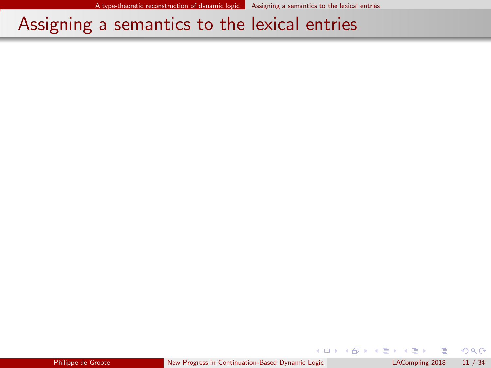<span id="page-50-0"></span> $299$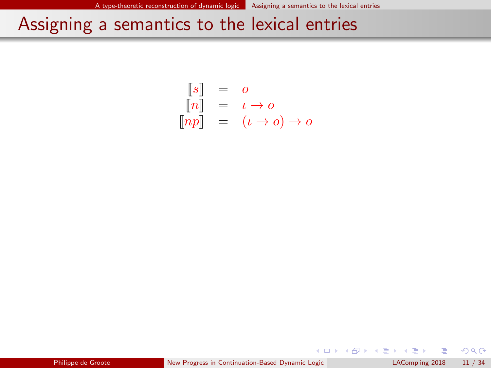<span id="page-51-0"></span>
$$
\begin{array}{rcl}\n\llbracket s \rrbracket & = & o \\
\llbracket n \rrbracket & = & \iota \to o \\
\llbracket np \rrbracket & = & (\iota \to o) \to o\n\end{array}
$$

 $QQ$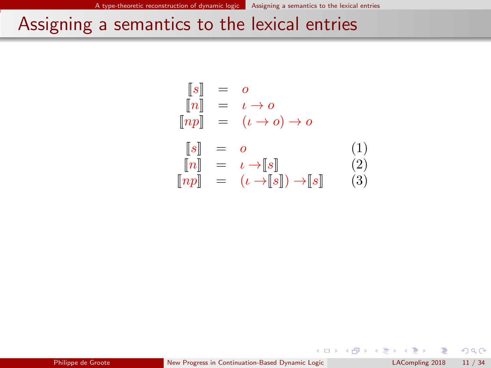<span id="page-52-0"></span>
$$
\begin{aligned}\n\llbracket s \rrbracket &= o \\
\llbracket n \rrbracket &= \iota \to o \\
\llbracket np \rrbracket &= (\iota \to o) \to o \\
\llbracket s \rrbracket &= o \\
\llbracket n \rrbracket &= \iota \to \llbracket s \rrbracket \\
\llbracket np \rrbracket &= (\iota \to \llbracket s \rrbracket) \to \llbracket s \rrbracket\n\end{aligned} \tag{1}
$$

 $QQ$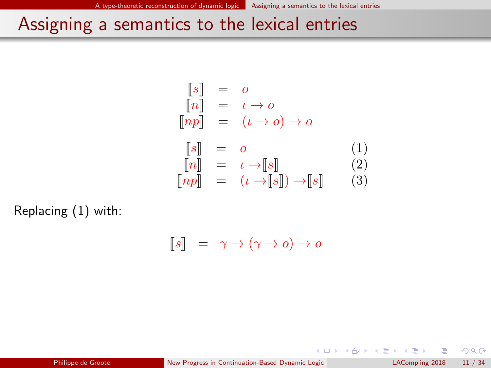<span id="page-53-0"></span>
$$
\begin{aligned}\n[s] &= o \\
[n] &= \iota \to o \\
[np] &= (\iota \to o) \to o \\
[s] &= o \\
[n] &= \iota \to [s] \\
[np] &= (\iota \to [s]) \to [s] \\
\end{aligned} \tag{1}
$$

Replacing (1) with:

$$
\llbracket s \rrbracket = \gamma \to (\gamma \to o) \to o
$$

**K ロ ▶ | K 何 ▶ | K 日** 

 $2990$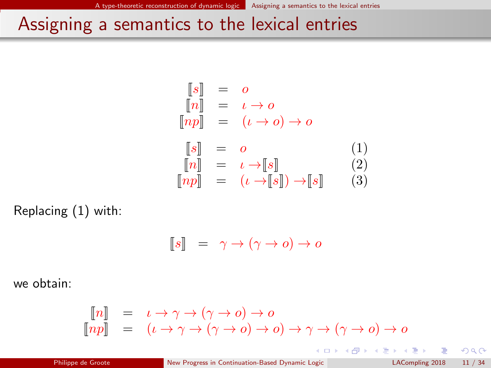<span id="page-54-0"></span>
$$
\begin{aligned}\n[s] &= o \\
[n] &= \iota \to o \\
[np] &= (\iota \to o) \to o \\
[s] &= o \\
[n] &= \iota \to [s] \\
[np] &= (\iota \to [s]) \to [s] \\
\end{aligned} \tag{1}
$$

Replacing (1) with:

$$
\llbracket s \rrbracket = \gamma \to (\gamma \to o) \to o
$$

we obtain:

$$
\begin{bmatrix} n \end{bmatrix} = \iota \to \gamma \to (\gamma \to o) \to o
$$
  

$$
\begin{bmatrix} np \end{bmatrix} = (\iota \to \gamma \to (\gamma \to o) \to o) \to \gamma \to (\gamma \to o) \to o
$$

**K ロ ▶ | K 何 ▶ | K 日** 

 $299$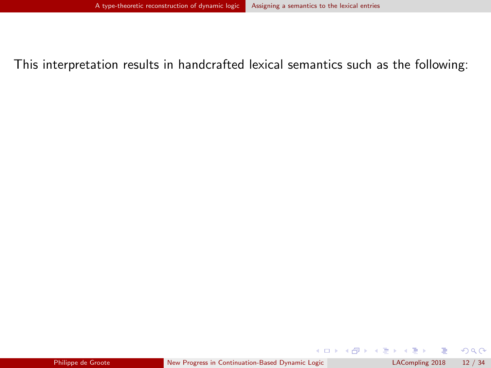<span id="page-55-0"></span>This interpretation results in handcrafted lexical semantics such as the following:

 $299$ 

イロト イ部ト イ君ト イ君)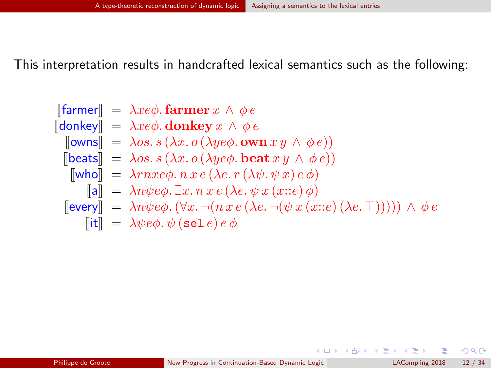<span id="page-56-0"></span>This interpretation results in handcrafted lexical semantics such as the following:

$$
\begin{array}{ll}\n\text{[farmer]} &= \lambda x e \phi. \text{farmer } x \wedge \phi e \\
\text{[donkey]} &= \lambda x e \phi. \text{ donkey } x \wedge \phi e \\
\text{[owns]} &= \lambda os. s \left(\lambda x. o \left(\lambda y e \phi. \text{own } xy \wedge \phi e\right)\right) \\
\text{[beats]} &= \lambda os. s \left(\lambda x. o \left(\lambda y e \phi. \text{beat } xy \wedge \phi e\right)\right) \\
\text{[who]} &= \lambda r n x e \phi. n x e \left(\lambda e. r \left(\lambda \psi. \psi x\right) e \phi\right) \\
\text{[a]} &= \lambda n \psi e \phi. \exists x. n x e \left(\lambda e. \psi x \left(x::e\right) \phi\right) \\
\text{[every]} &= \lambda n \psi e \phi. \left(\forall x. \neg (n x e \left(\lambda e. \neg (\psi x \left(x::e\right) \left(\lambda e. \top\right))))\right) \wedge \phi e \\
\text{[[it]} &= \lambda \psi e \phi. \psi \left(\text{sel } e\right) e \phi\n\end{array}
$$

 $299$ 

メロト メ御 トメ きょ メきょ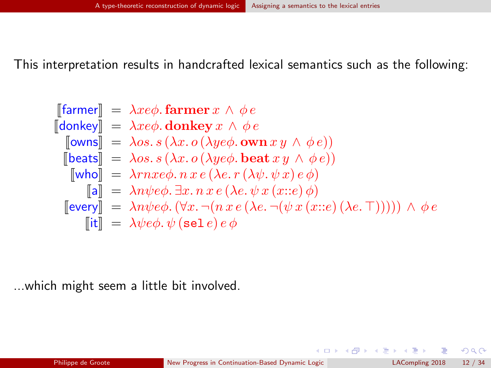<span id="page-57-0"></span>This interpretation results in handcrafted lexical semantics such as the following:

$$
\begin{array}{ll}\n\text{[farmer]} &= \lambda x e \phi. \text{farmer } x \wedge \phi e \\
\text{[donkey]} &= \lambda x e \phi. \text{ donkey } x \wedge \phi e \\
&= \text{[owns]} = \lambda os. s \ (\lambda x. o \ (\lambda y e \phi. \text{ own } x y \wedge \phi e)) \\
\text{[beats]} &= \lambda os. s \ (\lambda x. o \ (\lambda y e \phi. \text{ beat } x y \wedge \phi e)) \\
\text{[who]} &= \lambda r n x e \phi. n x e \ (\lambda e. r \ (\lambda \psi. \psi x) e \phi) \\
&= \text{[a]} = \lambda n \psi e \phi. \exists x. n x e \ (\lambda e. \psi x \ (\text{x::} e) \ (\phi) \\
\text{[every]} &= \lambda n \psi e \phi. \ (\forall x. \neg (n x e \ (\lambda e. \neg (\psi x \ (\text{x::} e) \ (\lambda e. \top))))) \ \wedge \ \phi e \\
\text{[it]} &= \lambda \psi e \phi. \ \psi \ (\text{sel } e) \ e \phi\n\end{array}
$$

...which might seem a little bit involved.

 $299$ 

K ロ ) (K 音 ) (K 급 ) (K 급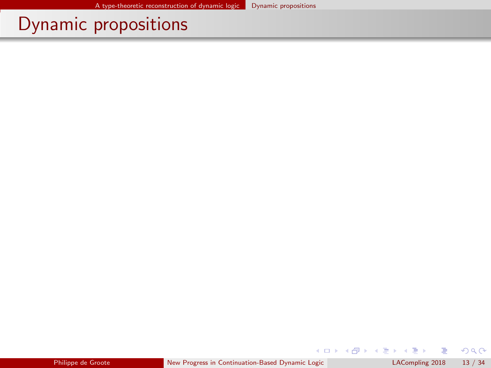$299$ 

<span id="page-58-0"></span>メロト メ都 トメ ヨ トメ ヨト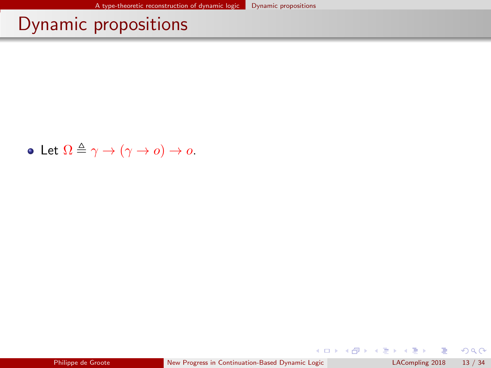<span id="page-59-0"></span>• Let  $\Omega \triangleq \gamma \rightarrow (\gamma \rightarrow o) \rightarrow o$ .

 $299$ 

メロト メ御 トメ きょ メきょ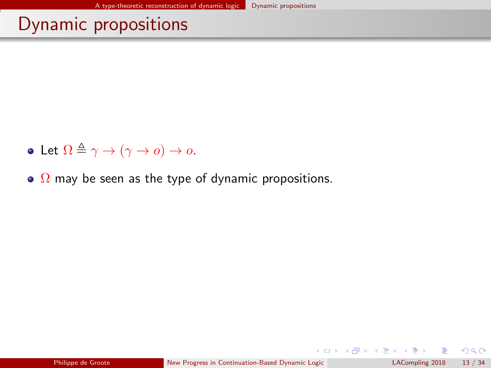- <span id="page-60-0"></span>• Let  $\Omega \triangleq \gamma \rightarrow (\gamma \rightarrow o) \rightarrow o$ .
- $\Omega$  may be seen as the type of dynamic propositions.

 $QQ$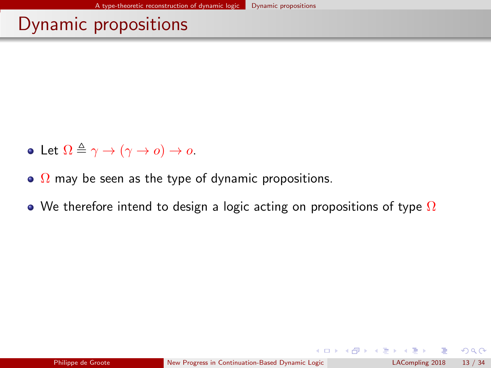- <span id="page-61-0"></span>• Let  $\Omega \triangleq \gamma \rightarrow (\gamma \rightarrow o) \rightarrow o$ .
- $\Omega$  may be seen as the type of dynamic propositions.
- We therefore intend to design a logic acting on propositions of type  $\Omega$

 $\Omega$ 

イロト イ部ト イ君ト イ君)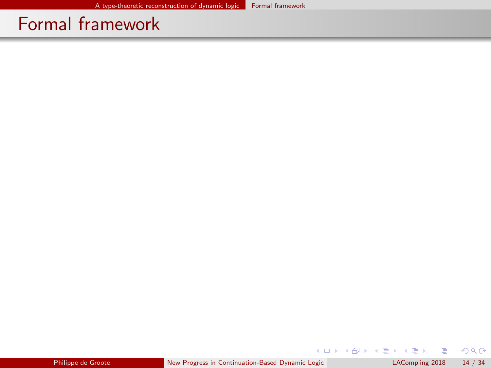$299$ 

<span id="page-62-0"></span>イロト イ部ト イミト イミト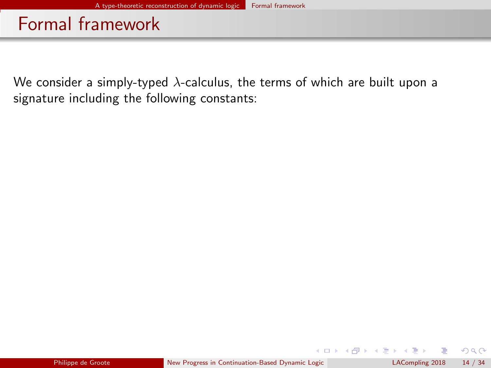<span id="page-63-0"></span>We consider a simply-typed  $\lambda$ -calculus, the terms of which are built upon a signature including the following constants:

 $\Omega$ 

**K ロ ト K 何 ト K ヨ ト K**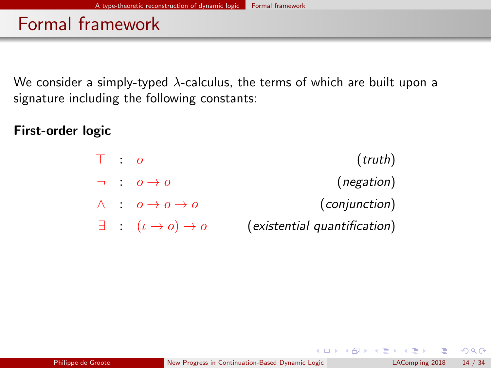<span id="page-64-0"></span>We consider a simply-typed  $\lambda$ -calculus, the terms of which are built upon a signature including the following constants:

First-order logic

 $\top$  : o (truth)  $\lnot$  :  $o \rightarrow o$  (negation)  $\wedge$  :  $o \rightarrow o \rightarrow o$  (conjunction)  $\exists$  :  $(\iota \to o) \to o$  (existential quantification)

 $\Omega$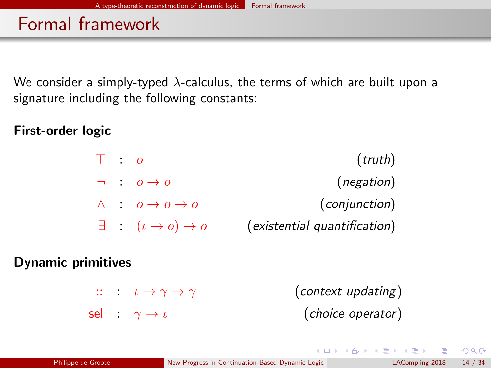<span id="page-65-0"></span>We consider a simply-typed  $\lambda$ -calculus, the terms of which are built upon a signature including the following constants:

First-order logic

 $\top$  : o (truth)  $\lnot$  :  $o \rightarrow o$  (negation)  $\wedge$  :  $o \rightarrow o \rightarrow o$  (conjunction)  $\exists$  :  $(\iota \to o) \to o$  (existential quantification)

#### Dynamic primitives

 $:: : \iota \rightarrow \gamma \rightarrow \gamma$  (context updating) sel :  $\gamma \rightarrow \iota$  (choice operator)

 $QQ$ 

 $\left\{ \begin{array}{ccc} 1 & 0 & 0 \\ 0 & 1 & 0 \end{array} \right.$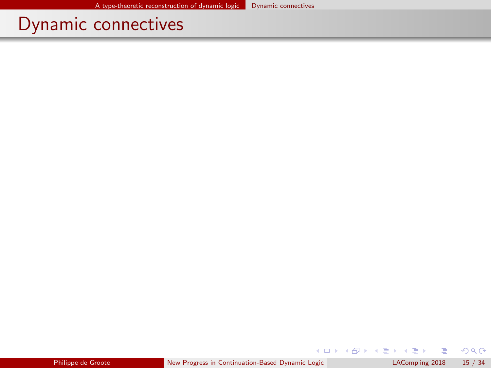$299$ 

<span id="page-66-0"></span>メロト メ都 トメ ヨ トメ ヨト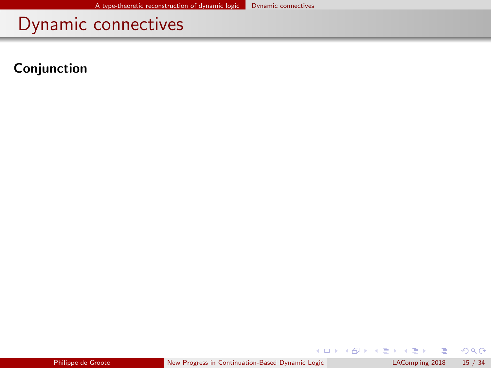<span id="page-67-0"></span>Conjunction

 $299$ 

メロト メ都 トメ ヨ トメ ヨト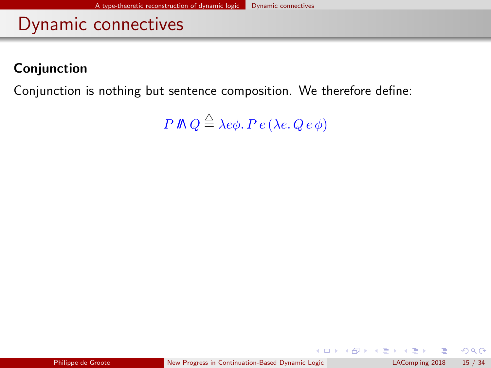#### <span id="page-68-0"></span>Conjunction

Conjunction is nothing but sentence composition. We therefore define:

P V  $Q \stackrel{\triangle}{=} \lambda e \phi$ . P e (λe. Q e φ)

 $QQ$ 

**K ロ ト K 何 ト K ヨ ト K**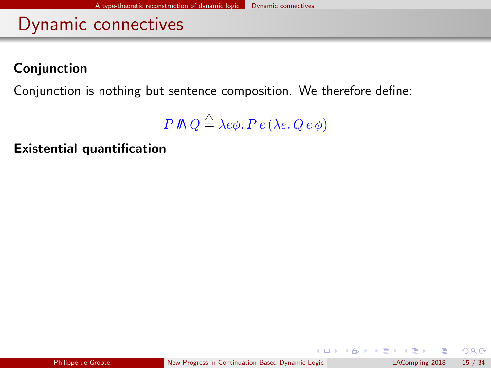#### <span id="page-69-0"></span>Conjunction

Conjunction is nothing but sentence composition. We therefore define:

$$
P \nparallel Q \stackrel{\triangle}{=} \lambda e \phi. \, P \, e \, (\lambda e. \, Q \, e \, \phi)
$$

Existential quantification

 $299$ 

**K ロ ト K 何 ト K ヨ ト K**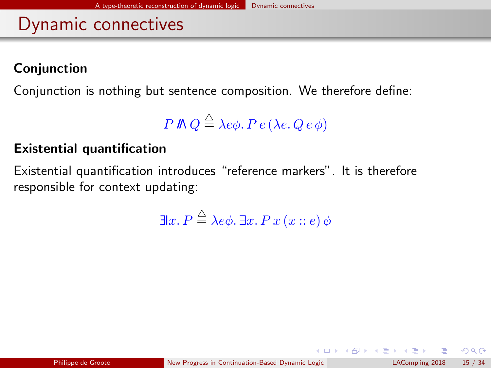#### <span id="page-70-0"></span>**Conjunction**

Conjunction is nothing but sentence composition. We therefore define:

$$
P \nparallel Q \stackrel{\triangle}{=} \lambda e \phi. \, P \, e \, (\lambda e. \, Q \, e \, \phi)
$$

#### Existential quantification

Existential quantification introduces "reference markers". It is therefore responsible for context updating:

 $\exists \! \ket{x,P} \stackrel{\triangle}{=} \lambda e \phi$ .  $\exists x.\, P\, x\, (x :: e) \, \phi$ 

 $\Omega$ 

**K Q X K A P X 4 3 X 4**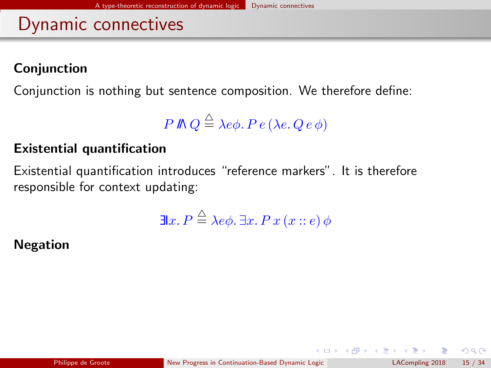#### <span id="page-71-0"></span>Conjunction

Conjunction is nothing but sentence composition. We therefore define:

$$
P \nparallel Q \stackrel{\triangle}{=} \lambda e \phi. \, P \, e \, (\lambda e. \, Q \, e \, \phi)
$$

#### Existential quantification

Existential quantification introduces "reference markers". It is therefore responsible for context updating:

$$
\exists x. P \stackrel{\triangle}{=} \lambda e \phi. \exists x. P x (x :: e) \phi
$$

#### Negation

 $\Omega$ 

**K Q X K A P X 4 3 X 4**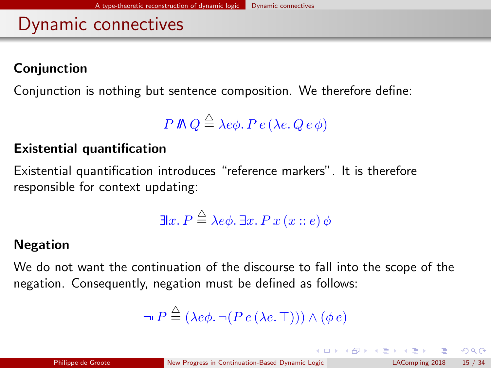### <span id="page-72-0"></span>Dynamic connectives

### **Conjunction**

Conjunction is nothing but sentence composition. We therefore define:

$$
P \nparallel Q \stackrel{\triangle}{=} \lambda e \phi. \, P \, e \, (\lambda e. \, Q \, e \, \phi)
$$

#### Existential quantification

Existential quantification introduces "reference markers". It is therefore responsible for context updating:

$$
\exists x. P \stackrel{\triangle}{=} \lambda e \phi. \exists x. P x (x :: e) \phi
$$

### Negation

We do not want the continuation of the discourse to fall into the scope of the negation. Consequently, negation must be defined as follows:

$$
\neg P \stackrel{\triangle}{=} (\lambda e \phi, \neg (P e (\lambda e. \top))) \land (\phi e)
$$

 $\Omega$ 

 $(1)$   $(1)$   $(1)$   $(1)$   $(1)$   $(1)$   $(1)$   $(1)$   $(1)$   $(1)$   $(1)$   $(1)$   $(1)$   $(1)$   $(1)$   $(1)$   $(1)$   $(1)$   $(1)$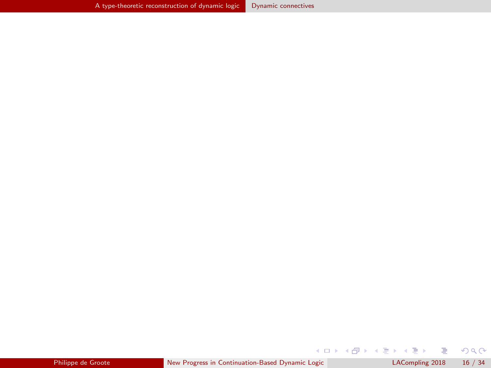$299$ 

<span id="page-73-0"></span>メロトメ 御き メミドメ 差す 一番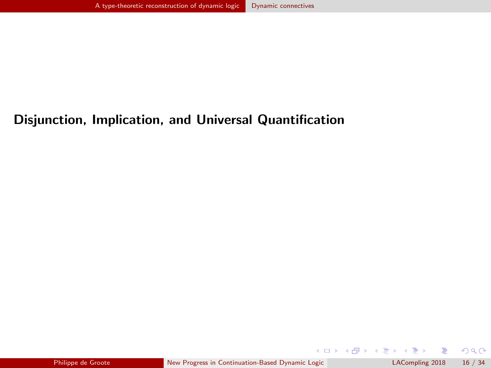### <span id="page-74-0"></span>Disjunction, Implication, and Universal Quantification

 $299$ 

イロト イ部ト イミト イミト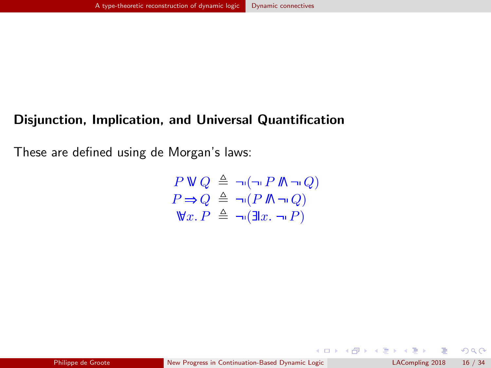### <span id="page-75-0"></span>Disjunction, Implication, and Universal Quantification

These are defined using de Morgan's laws:

$$
\begin{array}{l} P\mathbb{W}\,Q \; \triangleq \; \neg(\neg P\,\mathbb{M} \, \neg(Q) \\ P \Rightarrow Q \; \triangleq \; \neg(P\,\mathbb{M} \, \neg(Q) \\ \mathbb{W} x. \, P \; \triangleq \; \neg(\exists \exists x. \; \neg(P) \end{array}
$$

 $QQ$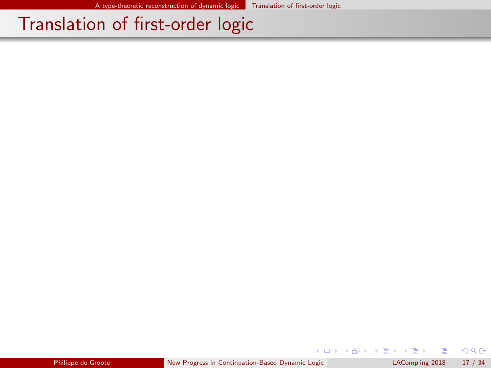$299$ 

<span id="page-76-0"></span>メロメ メ御 メメ きょうぼき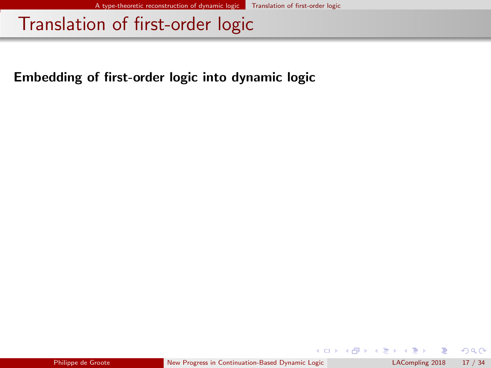<span id="page-77-0"></span>Embedding of first-order logic into dynamic logic

 $299$ 

 $\left\{ \begin{array}{ccc} 1 & 0 & 0 \\ 0 & 1 & 0 \end{array} \right\}$  ,  $\left\{ \begin{array}{ccc} 0 & 0 & 0 \\ 0 & 0 & 0 \end{array} \right\}$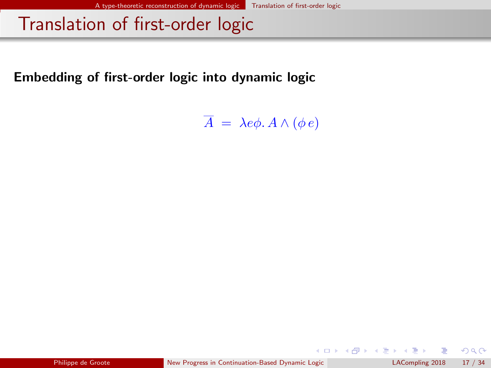<span id="page-78-0"></span>Embedding of first-order logic into dynamic logic

 $\overline{A} = \lambda e \phi$ .  $A \wedge (\phi e)$ 

 $299$ 

**K ロ ト K 何 ト K ヨ ト K**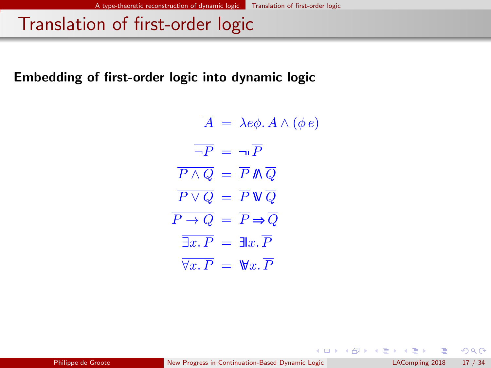<span id="page-79-0"></span>Embedding of first-order logic into dynamic logic

 $\overline{A} = \lambda e \phi$ .  $A \wedge (\phi e)$  $\overline{\neg P}$  =  $\neg \overline{P}$  $P \wedge Q = P$ V  $\pmb Q$  $\overline{P \vee Q} = \overline{P} \mathbb{W} \overline{Q}$  $\overline{P \rightarrow Q} = \overline{P} \rightarrow \overline{Q}$  $\overline{\exists x \ P} = \exists x \ \overline{P}$  $\forall x. P = \mathbb{V}x. P$ 

 $\Omega$ 

( ロ ) ( 何 ) ( ヨ ) ( ヨ )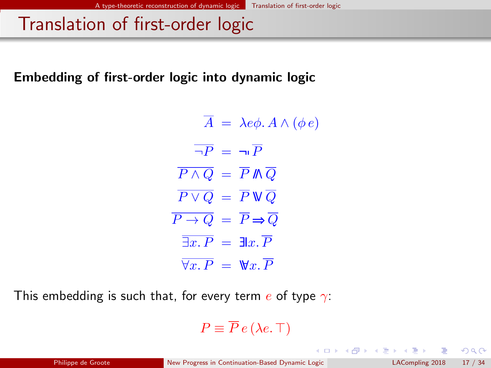<span id="page-80-0"></span>Embedding of first-order logic into dynamic logic

 $\overline{A} = \lambda e \phi$ .  $A \wedge (\phi e)$  $\overline{\neg P}$  =  $\neg \overline{P}$  $P \wedge Q = P$ V  $\pmb Q$  $\overline{P \vee Q} = \overline{P} \mathbb{W} \overline{Q}$  $\overline{P \rightarrow Q} = \overline{P} \rightarrow \overline{Q}$  $\overline{\exists x. P}$  =  $\exists x. \overline{P}$  $\forall x. P = \mathbb{V}x. P$ 

This embedding is such that, for every term e of type  $\gamma$ :

$$
P \equiv \overline{P} e (\lambda e. \top)
$$

 $\Omega$ 

( ロ ) ( 何 ) ( ヨ ) ( ヨ )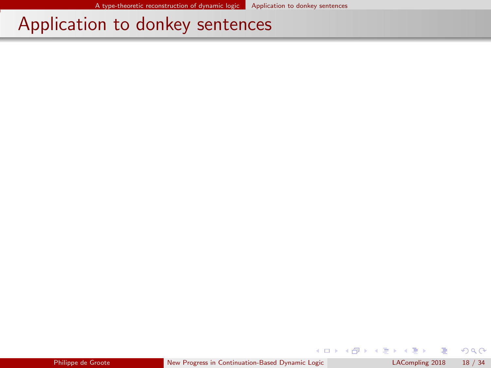### <span id="page-81-0"></span>Application to donkey sentences

 $299$ 

メロト メ御 トメ きょ メきょ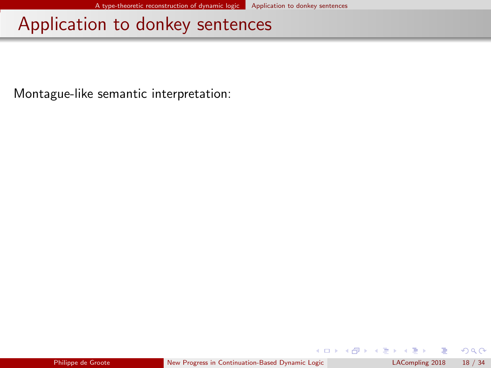## <span id="page-82-0"></span>Application to donkey sentences

Montague-like semantic interpretation:

 $299$ 

 $\left\{ \begin{array}{ccc} 1 & 0 & 0 \\ 0 & 1 & 0 \end{array} \right\}$  ,  $\left\{ \begin{array}{ccc} 0 & 0 & 0 \\ 0 & 0 & 0 \end{array} \right\}$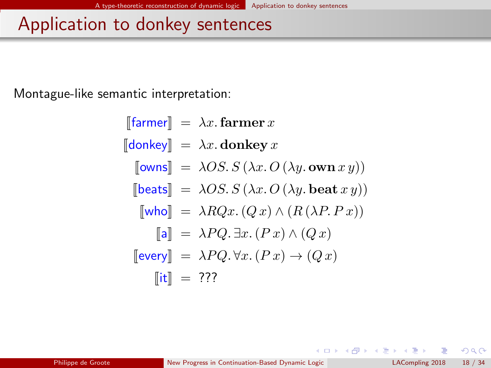## <span id="page-83-0"></span>Application to donkey sentences

Montague-like semantic interpretation:

$$
\begin{aligned}\n\text{[farmer]} &= \lambda x. \text{ farmer } x \\
\text{[donkey]} &= \lambda x. \text{ donkey } x \\
\text{[owns]} &= \lambda OS. S \left(\lambda x. O \left(\lambda y. \text{ own } x \, y\right)\right) \\
\text{[beats]} &= \lambda OS. S \left(\lambda x. O \left(\lambda y. \text{ beat } x \, y\right)\right) \\
\text{[who]} &= \lambda RQx. \left(Q \, x\right) \wedge \left(R \left(\lambda P. P \, x\right)\right) \\
\text{[a]} &= \lambda PQ. \exists x. \left(P \, x\right) \wedge \left(Q \, x\right) \\
\text{[every]} &= \lambda PQ. \forall x. \left(P \, x\right) \rightarrow \left(Q \, x\right) \\
\text{[it]} &= ???\n\end{aligned}
$$

 $\Omega$ 

(□ ) ( n ) ( 三 )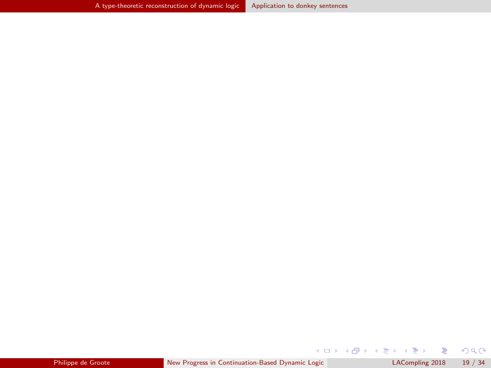$299$ 

<span id="page-84-0"></span> $A \equiv \lambda$  ,  $A \equiv \lambda$  ,  $A \equiv \lambda$  ,  $A \equiv \lambda$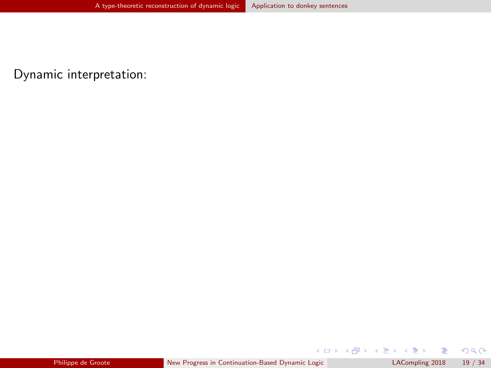<span id="page-85-0"></span>Dynamic interpretation:

 $299$ 

**K ロ ト K 御 ト K 澄 ト K 差 ト**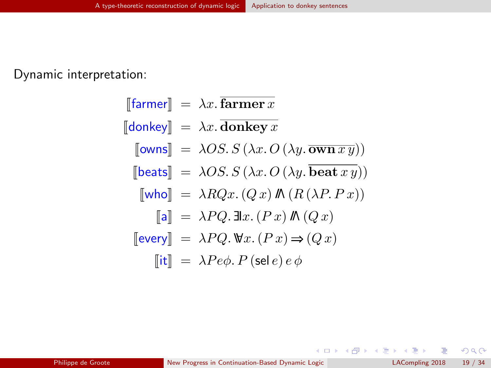<span id="page-86-0"></span>Dynamic interpretation:

 $\llbracket$  farmer $\rrbracket = \lambda x$ . farmer x  $\llbracket$ donkey $\rrbracket = \lambda x$ . donkey x  $\sqrt{\text{Iown}} = \lambda OS. S(\lambda x. O(\lambda y. \overline{\text{own } x y}))$  $\lbrack \lbrack \mathsf{beats} \rbrack \rbrack = \lambda OS. S (\lambda x. O (\lambda y. \mathbf{beat} x y))$  $\llbracket$ who $\rrbracket = \lambda RQx. (Q x)$ V  $(R(\lambda P.P x))$  $\begin{bmatrix} \begin{bmatrix} a \end{bmatrix} = \lambda PQ. \exists x. (Px) \end{bmatrix}$ V  $(Q x)$  $\text{[every]} = \lambda PQ. \forall x. (Px) \Rightarrow (Qx)$  $\lbrack \mathsf{I}\rbrack \mathsf{it} \rbrack = \lambda Pe\phi$ . P (sel e) e  $\phi$ 

 $\Omega$ 

イロト イ押ト イヨト イヨト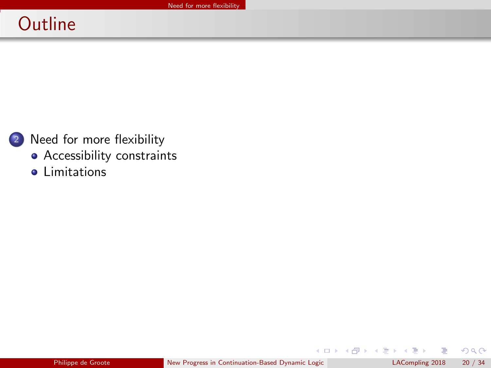# <span id="page-87-0"></span>**Outline**

2 [Need for more flexibility](#page-87-0)

- [Accessibility constraints](#page-88-0)
- **•** [Limitations](#page-94-0)

舌

 $299$ 

メロトメ 御下 メミトメ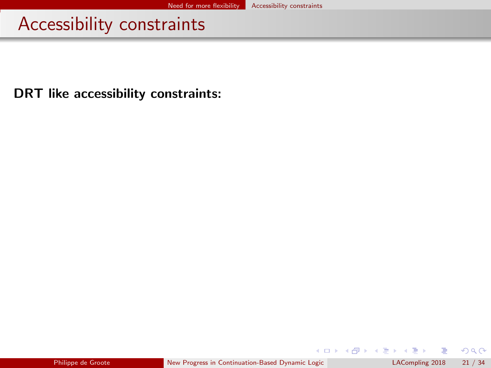<span id="page-88-0"></span>DRT like accessibility constraints:

 $\equiv$ 

 $299$ 

**K ロ ト K 何 ト K ヨ ト K**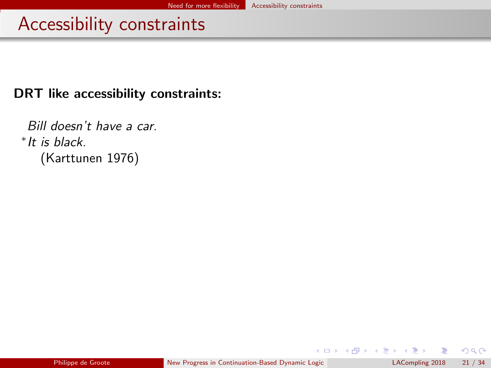#### <span id="page-89-0"></span>DRT like accessibility constraints:

Bill doesn't have a car. ∗ It is black. (Karttunen 1976)

 $\equiv$ 

 $\left\{ \begin{array}{ccc} \square & \rightarrow & \left\{ \bigcap \mathbb{P} \right\} & \left\{ \begin{array}{ccc} \square & \rightarrow & \left\{ \end{array} \right\} \end{array} \right.$ 

 $QQ$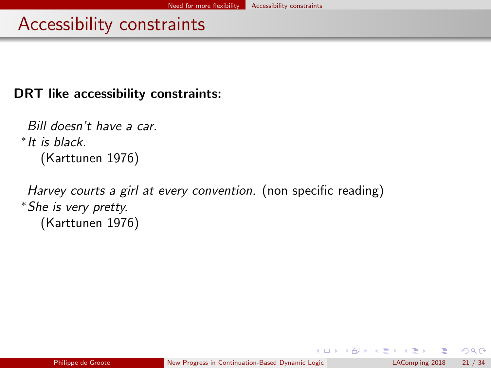#### <span id="page-90-0"></span>DRT like accessibility constraints:

```
Bill doesn't have a car.
∗
It is black.
   (Karttunen 1976)
```
Harvey courts a girl at every convention. (non specific reading) <sup>∗</sup>She is very pretty. (Karttunen 1976)

4 D F

 $\rightarrow$   $\overline{m}$   $\rightarrow$   $\rightarrow$   $\overline{m}$   $\rightarrow$   $\rightarrow$ 

 $\Omega$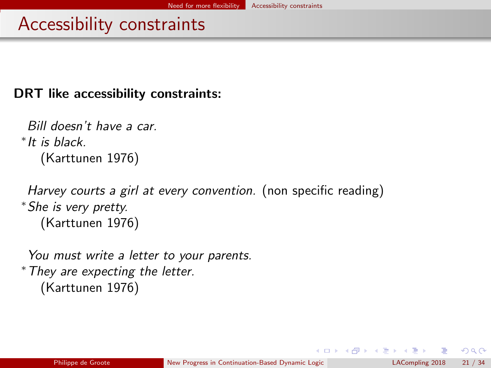#### <span id="page-91-0"></span>DRT like accessibility constraints:

```
Bill doesn't have a car.
∗
It is black.
   (Karttunen 1976)
```

```
Harvey courts a girl at every convention. (non specific reading)
∗She is very pretty.
   (Karttunen 1976)
```
You must write a letter to your parents. <sup>∗</sup>They are expecting the letter. (Karttunen 1976)

 $-10<sup>-10</sup>$ 

 $\rightarrow$   $\overline{m}$   $\rightarrow$   $\rightarrow$   $\overline{m}$   $\rightarrow$   $\rightarrow$ 

 $\Omega$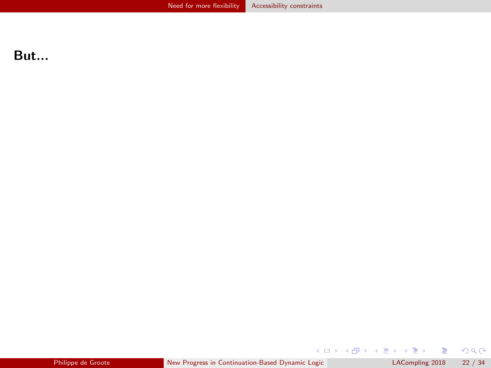#### <span id="page-92-0"></span>But...

 $299$ 

K ロラ メタラ メ きょ メ きょ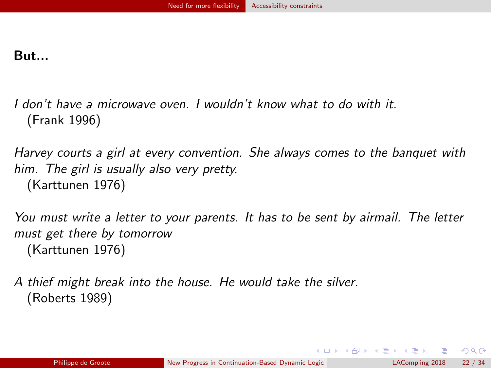#### <span id="page-93-0"></span>But...

I don't have a microwave oven. I wouldn't know what to do with it. (Frank 1996)

Harvey courts a girl at every convention. She always comes to the banquet with him. The girl is usually also very pretty. (Karttunen 1976)

You must write a letter to your parents. It has to be sent by airmail. The letter must get there by tomorrow (Karttunen 1976)

A thief might break into the house. He would take the silver. (Roberts 1989)

 $\Omega$ 

メロト メ御 トメ きょ メきょ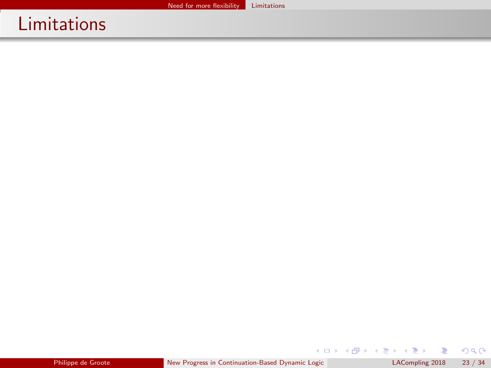## <span id="page-94-0"></span>Limitations

 $299$ 

イロト イ部ト イミト イミト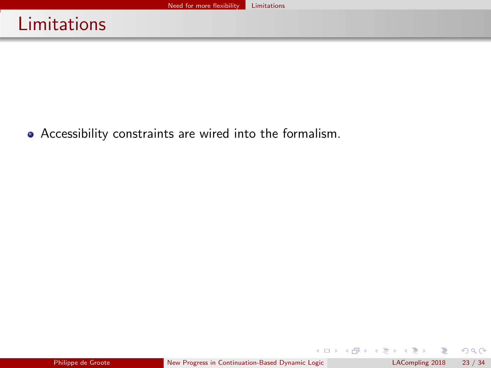## <span id="page-95-0"></span>Limitations

Accessibility constraints are wired into the formalism.

 $299$ 

メロト メ御 トメ きょ メきょ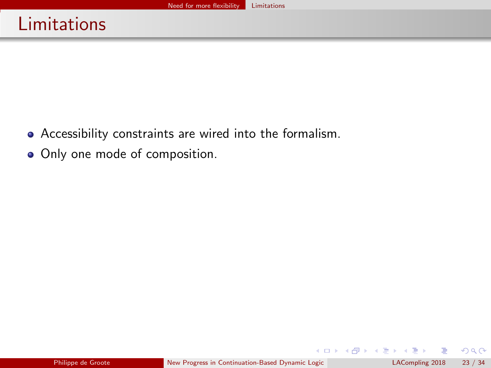- <span id="page-96-0"></span>Accessibility constraints are wired into the formalism.
- Only one mode of composition.

舌

 $299$ 

 $\left\{ \begin{array}{ccc} 1 & 0 & 0 \\ 0 & 1 & 0 \end{array} \right\}$  ,  $\left\{ \begin{array}{ccc} 0 & 0 & 0 \\ 0 & 0 & 0 \end{array} \right\}$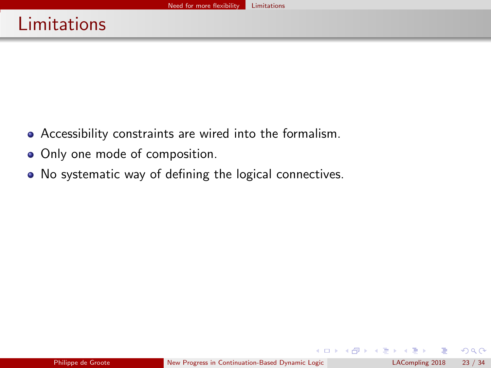- <span id="page-97-0"></span>Accessibility constraints are wired into the formalism.
- Only one mode of composition.
- No systematic way of defining the logical connectives.

 $\Omega$ 

(□ ) ( n ) ( 三 )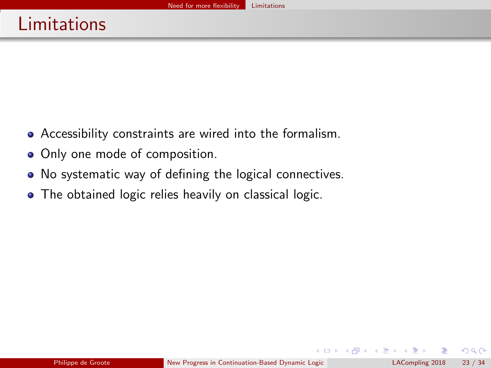- <span id="page-98-0"></span>Accessibility constraints are wired into the formalism.
- Only one mode of composition.
- No systematic way of defining the logical connectives.
- The obtained logic relies heavily on classical logic.

K □ ▶ K 何 ▶ K 글

**Si** 

 $QQ$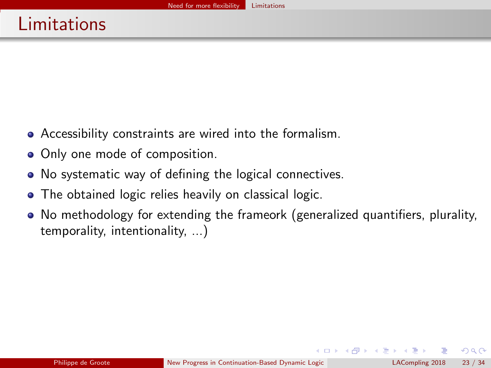- <span id="page-99-0"></span>Accessibility constraints are wired into the formalism.
- Only one mode of composition.
- No systematic way of defining the logical connectives.
- The obtained logic relies heavily on classical logic.
- No methodology for extending the frameork (generalized quantifiers, plurality, temporality, intentionality, ...)

 $\Omega$ 

**K ロ ▶ - K 何 ▶ - K ヨ ▶ - K**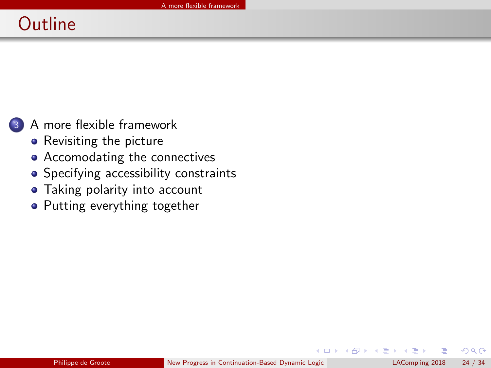# <span id="page-100-0"></span>**Outline**

### <sup>3</sup> [A more flexible framework](#page-100-0)

- [Revisiting the picture](#page-101-0)
- [Accomodating the connectives](#page-109-0)
- [Specifying accessibility constraints](#page-123-0)
- [Taking polarity into account](#page-127-0)
- [Putting everything together](#page-140-0)

4 D F

**100 m Card Text**   $\Omega$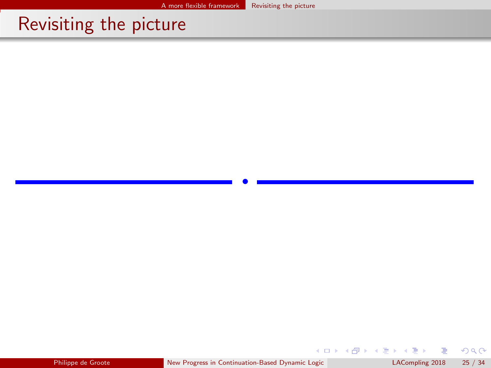<span id="page-101-0"></span>•

 $299$ 

メロト メ御 トメ きょ メきょ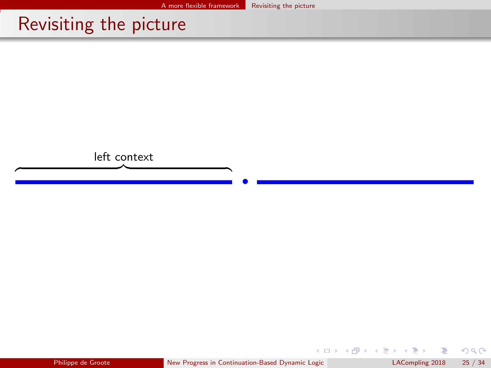<span id="page-102-0"></span>

舌

 $299$ 

メロトメ 御下 メミトメ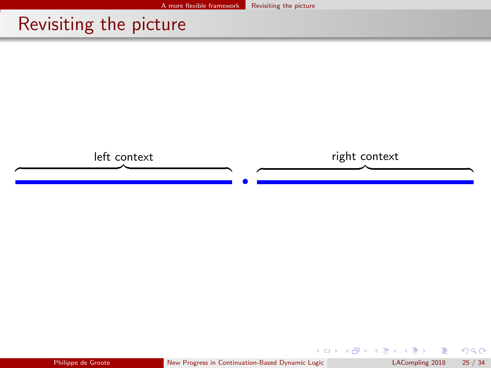<span id="page-103-0"></span>

 $\sim$ 舌  $299$ 

 $4$  O  $\rightarrow$   $4$   $\overline{m}$   $\rightarrow$   $4$   $\overline{m}$   $\rightarrow$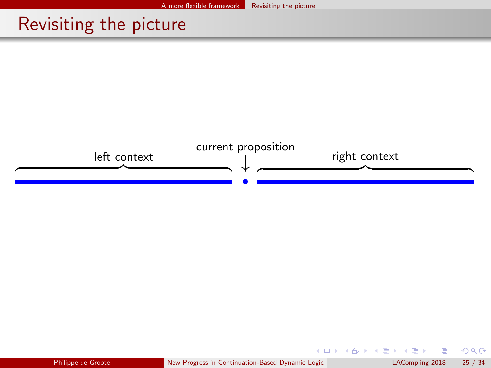<span id="page-104-0"></span>

 $299$ 

**K ロ ⊁ K 何 ≯** 

一本語 ×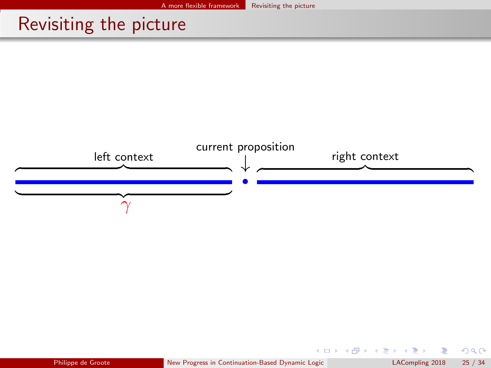<span id="page-105-0"></span>

 $299$ 

**K ロ ト K 何 ト K ヨ** 

 $\sim$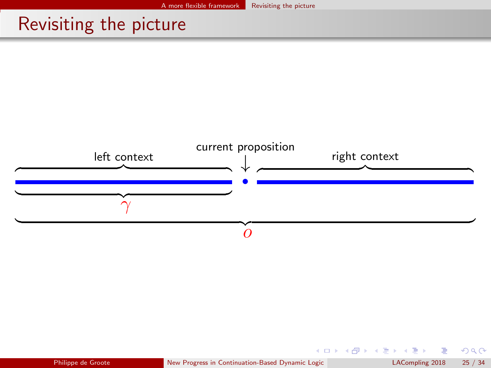<span id="page-106-0"></span>

 $\sim$  40 舌  $299$ 

 $4$  O  $\rightarrow$   $4$   $\overline{m}$   $\rightarrow$   $4$   $\overline{m}$   $\rightarrow$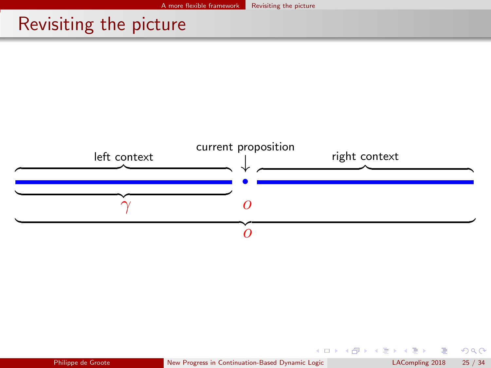<span id="page-107-0"></span>

舌

 $299$ 

 $4$  O  $\rightarrow$   $4$   $\overline{m}$   $\rightarrow$   $4$   $\overline{m}$   $\rightarrow$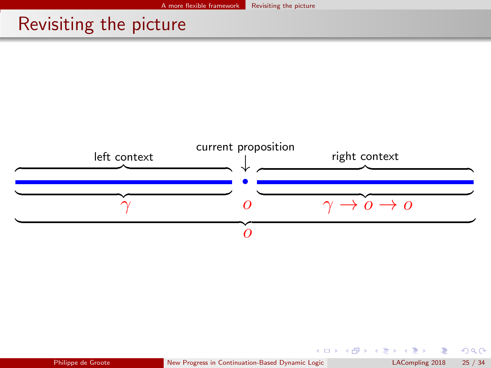# <span id="page-108-0"></span>Revisiting the picture



 $\sim$ 舌  $299$ 

 $4$  O  $\rightarrow$   $4$   $\overline{m}$   $\rightarrow$   $4$   $\overline{m}$   $\rightarrow$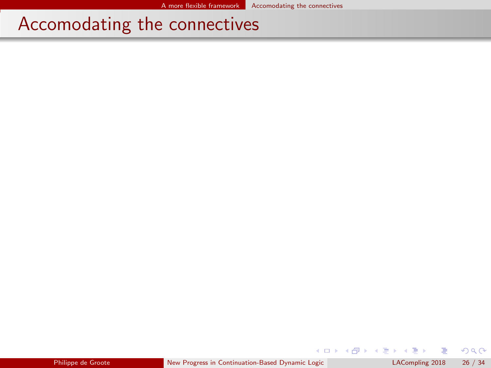$2990$ 

<span id="page-109-0"></span>メロト メ御 トメ きょ メきょ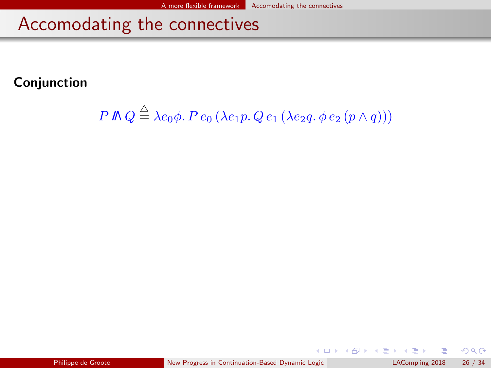#### <span id="page-110-0"></span>Conjunction

$$
P \mathbb{M} Q \stackrel{\triangle}{=} \lambda e_0 \phi. \, P \, e_0 \, (\lambda e_1 p. \, Q \, e_1 \, (\lambda e_2 q. \, \phi \, e_2 \, (p \wedge q)))
$$

 $299$ 

K ロメ X 御 X X 평 X X 평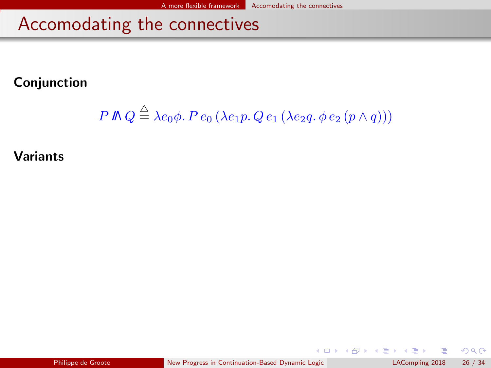#### <span id="page-111-0"></span>Conjunction

$$
P \mathbb{I} \cap Q \stackrel{\triangle}{=} \lambda e_0 \phi. \, P \, e_0 \, (\lambda e_1 p. \, Q \, e_1 \, (\lambda e_2 q. \, \phi \, e_2 \, (p \wedge q)))
$$

#### Variants

÷.

 $299$ 

**K ロ ト K 何 ト K ヨ ト K**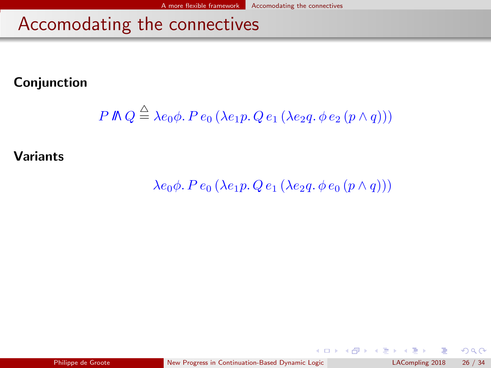#### <span id="page-112-0"></span>Conjunction

$$
P \mathbb{I} \cap Q \stackrel{\triangle}{=} \lambda e_0 \phi. \, P \, e_0 \, (\lambda e_1 p. \, Q \, e_1 \, (\lambda e_2 q. \, \phi \, e_2 \, (p \wedge q)))
$$

#### Variants

 $\lambda e_0 \phi$ .  $P e_0 (\lambda e_1 p. Q e_1 (\lambda e_2 q. \phi e_0 (p \wedge q)))$ 

 $\Omega$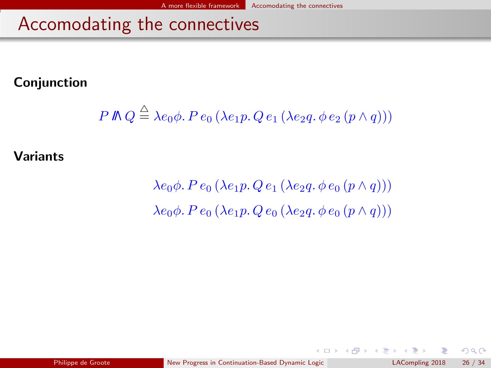#### <span id="page-113-0"></span>Conjunction

P  $Q \stackrel{\triangle}{=} \lambda e_0 \phi. \, P \, e_0 \, (\lambda e_1 p. \, Q \, e_1 \, (\lambda e_2 q. \, \phi \, e_2 \, (p \wedge q)))$ 

#### Variants

 $\lambda e_0 \phi$ . P  $e_0$  ( $\lambda e_1 p$ . Q  $e_1$  ( $\lambda e_2 q$ .  $\phi e_0$  ( $p \wedge q$ )))  $\lambda e_0 \phi$ ,  $P e_0 (\lambda e_1 p$ ,  $Q e_0 (\lambda e_2 q, \phi e_0 (p \wedge q)))$ 

 $\left\{ \begin{array}{ccc} 1 & 0 & 0 \\ 0 & 1 & 0 \end{array} \right\}$ 

 $\Omega$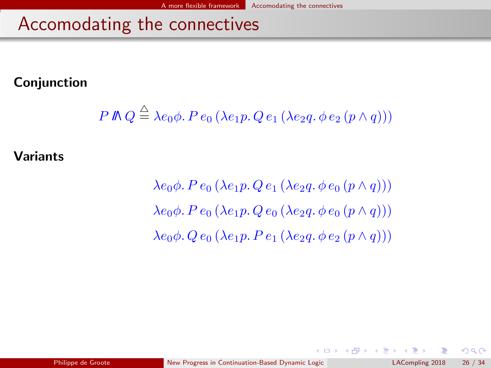#### <span id="page-114-0"></span>Conjunction

P  $Q \stackrel{\triangle}{=} \lambda e_0 \phi. \, P \, e_0 \, (\lambda e_1 p. \, Q \, e_1 \, (\lambda e_2 q. \, \phi \, e_2 \, (p \wedge q)))$ 

#### Variants

 $\lambda e_0 \phi$ . P  $e_0$  ( $\lambda e_1 p$ . Q  $e_1$  ( $\lambda e_2 q$ .  $\phi e_0$  ( $p \wedge q$ )))  $\lambda e_0 \phi$ . P  $e_0$  ( $\lambda e_1 p$ . Q  $e_0$  ( $\lambda e_2 q$ .  $\phi e_0$  ( $p \wedge q$ )))  $\lambda e_0 \phi$ . Q  $e_0$  ( $\lambda e_1 p$ . P  $e_1$  ( $\lambda e_2 q$ .  $\phi e_2$   $(p \wedge q)$ ))

 $\Omega$ 

 $\left\{ \begin{array}{ccc} 1 & 1 & 1 & 1 & 1 \end{array} \right\}$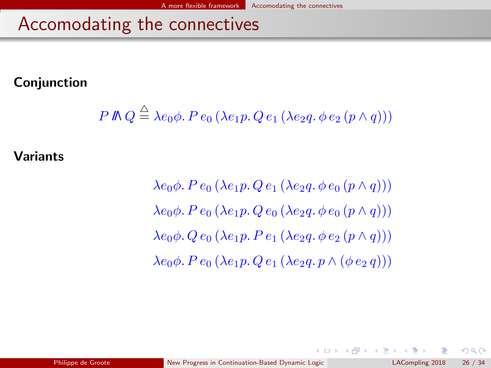#### <span id="page-115-0"></span>Conjunction

P  $Q \stackrel{\triangle}{=} \lambda e_0 \phi. \, P \, e_0 \, (\lambda e_1 p. \, Q \, e_1 \, (\lambda e_2 q. \, \phi \, e_2 \, (p \wedge q)))$ 

#### Variants

 $\lambda e_0 \phi$ . P  $e_0$  ( $\lambda e_1 p$ . Q  $e_1$  ( $\lambda e_2 q$ .  $\phi e_0$  ( $p \wedge q$ )))  $\lambda e_0 \phi$ ,  $P e_0 (\lambda e_1 p$ ,  $Q e_0 (\lambda e_2 q, \phi e_0 (p \wedge q)))$  $\lambda e_0 \phi$ . Q  $e_0$  ( $\lambda e_1 p$ . P  $e_1$  ( $\lambda e_2 q$ .  $\phi e_2$  ( $p \wedge q$ )))  $\lambda e_0 \phi$ . P  $e_0$  ( $\lambda e_1 p$ . Q  $e_1$  ( $\lambda e_2 q$ ,  $p \wedge (\phi e_2 q)$ ))

 $\Omega$ 

 $\left\{ \begin{array}{ccc} 1 & 0 & 0 \\ 0 & 1 & 0 \end{array} \right\}$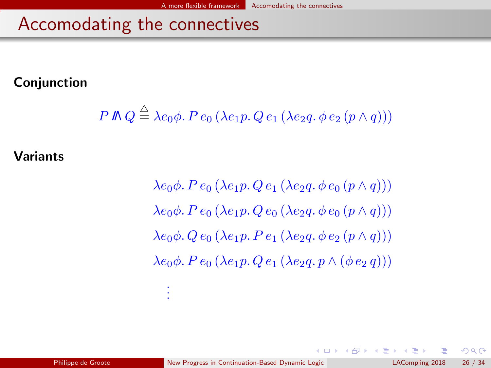#### <span id="page-116-0"></span>Conjunction

P  $Q \stackrel{\triangle}{=} \lambda e_0 \phi. \, P \, e_0 \, (\lambda e_1 p. \, Q \, e_1 \, (\lambda e_2 q. \, \phi \, e_2 \, (p \wedge q)))$ 

#### Variants

 $\lambda e_0 \phi$ . P  $e_0$  ( $\lambda e_1 p$ . Q  $e_1$  ( $\lambda e_2 q$ .  $\phi e_0$  ( $p \wedge q$ )))  $\lambda e_0 \phi$ ,  $P e_0 (\lambda e_1 p$ ,  $Q e_0 (\lambda e_2 q, \phi e_0 (p \wedge q)))$  $\lambda e_0 \phi$ . Q  $e_0$  ( $\lambda e_1 p$ . P  $e_1$  ( $\lambda e_2 q$ .  $\phi e_2$  ( $p \wedge q$ )))  $\lambda e_0 \phi$ . P  $e_0$  ( $\lambda e_1 p$ . Q  $e_1$  ( $\lambda e_2 q$ ,  $p \wedge (\phi e_2 q)$ )) . . .

 $\Omega$ 

イロト イ団ト イモト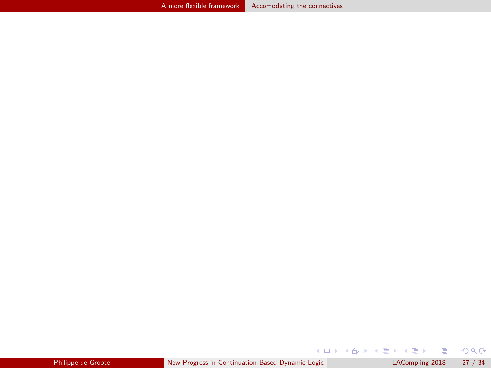$299$ 

<span id="page-117-0"></span>メロトメ 御 トメ 君 トメ 君 ト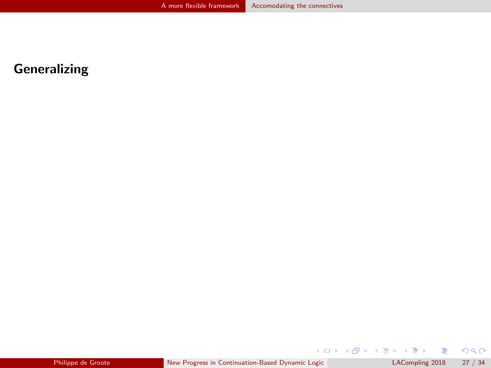$299$ 

<span id="page-118-0"></span>**K ロ ト K 御 ト K 澄 ト K 差 ト**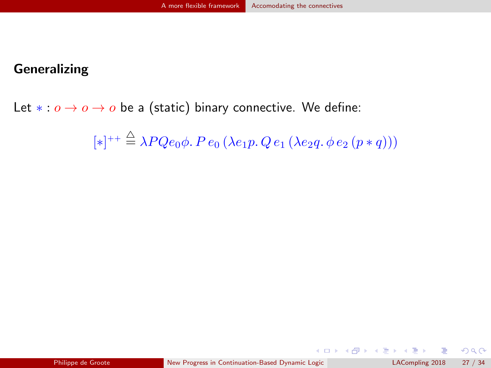<span id="page-119-0"></span>Let  $* : o \rightarrow o \rightarrow o$  be a (static) binary connective. We define:

 $[*]^{++} \stackrel{\Delta}{=} \lambda PQe_0\phi$ .  $P e_0 (\lambda e_1 p. Q e_1 (\lambda e_2 q. \phi e_2 (p * q)))$ 

 $QQ$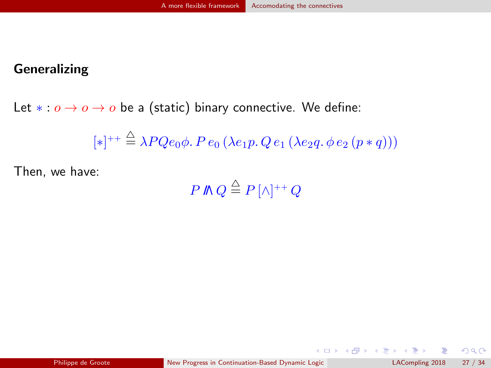<span id="page-120-0"></span>Let  $* : o \rightarrow o \rightarrow o$  be a (static) binary connective. We define:

$$
[*]^{++} \stackrel{\Delta}{=} \lambda PQe_0\phi. \, P \, e_0 \, (\lambda e_1 p. \, Q \, e_1 \, (\lambda e_2 q. \, \phi \, e_2 \, (p * q)))
$$

Then, we have:

P V  $Q \stackrel{\triangle}{=} P\,[\wedge]^{++}\, Q$ 

 $QQ$ 

メロト メ都 トメ ヨ トメ ヨト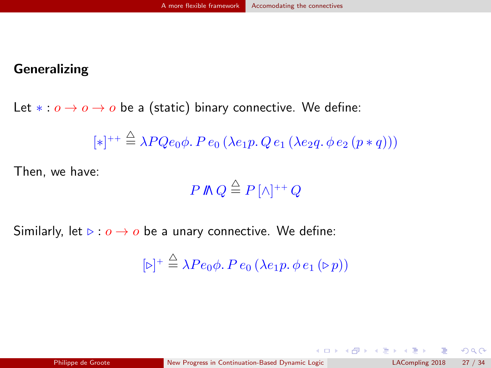<span id="page-121-0"></span>Let  $* : o \rightarrow o \rightarrow o$  be a (static) binary connective. We define:

$$
[*]^{++} \stackrel{\Delta}{=} \lambda PQe_0\phi. \, P \, e_0 \, (\lambda e_1 p. \, Q \, e_1 \, (\lambda e_2 q. \, \phi \, e_2 \, (p * q)))
$$

Then, we have:

$$
P \mathbb{N} Q \stackrel{\triangle}{=} P \, [\wedge]^{++} \, Q
$$

Similarly, let  $\triangleright : o \to o$  be a unary connective. We define:

$$
[\triangleright]^+\stackrel{\triangle}{=} \lambda Pe_0\phi.\,P\,e_0\,(\lambda e_1p.\,\phi\,e_1\,(\triangleright p))
$$

 $QQ$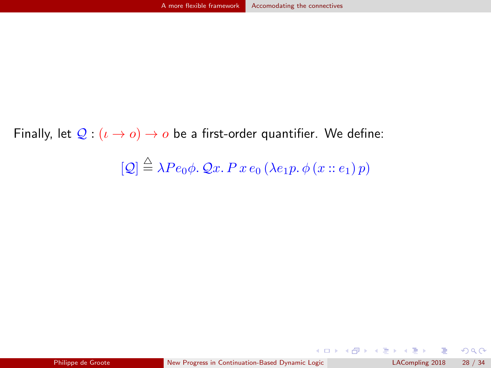<span id="page-122-0"></span>Finally, let  $\mathcal{Q}: (\iota \to o) \to o$  be a first-order quantifier. We define:

 $[Q] \stackrel{\triangle}{=} \lambda Pe_0\phi$ .  $Qx$ .  $Px$   $e_0(\lambda e_1p \phi(x:: e_1)p)$ 

 $QQ$ 

メロト メ都 トメ ヨ トメ ヨト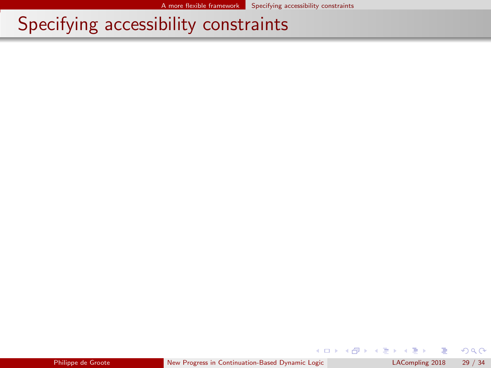$299$ 

<span id="page-123-0"></span>メロト メ都 トメ ヨ トメ ヨト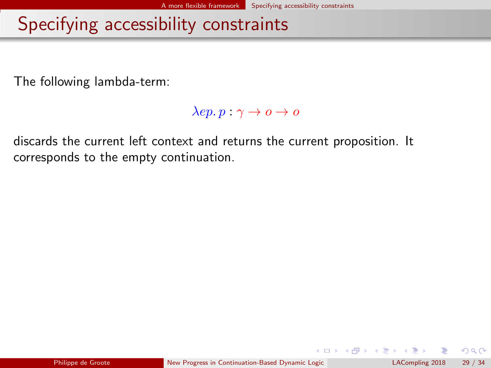<span id="page-124-0"></span>The following lambda-term:

```
\lambda ep. p : \gamma \to o \to o
```
discards the current left context and returns the current proposition. It corresponds to the empty continuation.

 $\Omega$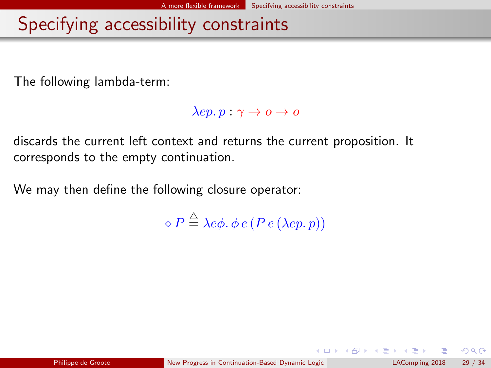<span id="page-125-0"></span>The following lambda-term:

```
\lambda ep. p : \gamma \to o \to o
```
discards the current left context and returns the current proposition. It corresponds to the empty continuation.

We may then define the following closure operator:

 $\Diamond P \stackrel{\triangle}{=} \lambda e \phi \ldotp \phi e (P e (\lambda e p \ldotp p))$ 

( ロ ) ( 何 ) ( ヨ ) ( ヨ )

 $\Omega$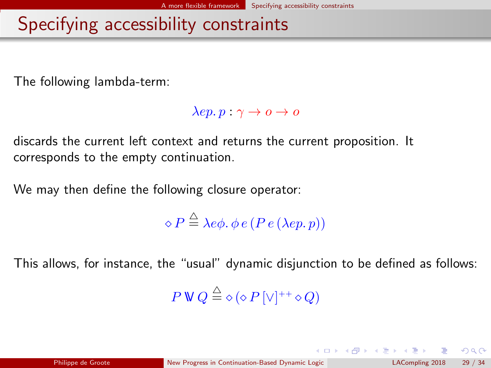<span id="page-126-0"></span>The following lambda-term:

```
\lambda ep. p : \gamma \to o \to o
```
discards the current left context and returns the current proposition. It corresponds to the empty continuation.

We may then define the following closure operator:

 $\Diamond P \stackrel{\triangle}{=} \lambda e \phi \ldotp \phi e (P e (\lambda e p \ldotp p))$ 

This allows, for instance, the "usual" dynamic disjunction to be defined as follows:

 $P$  W  $Q \stackrel{\triangle}{=} \diamond (\diamond P \, [\vee]^{++} \diamond Q)$ 

 $209$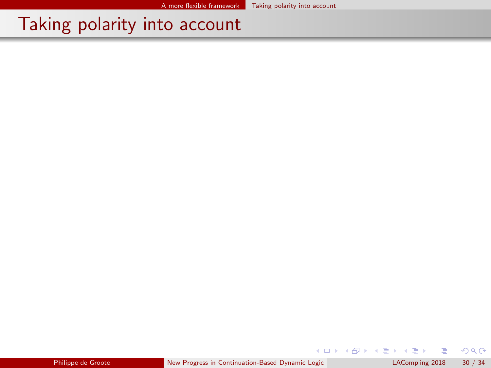$299$ 

<span id="page-127-0"></span>メロト メ御 トメ きょ メきょ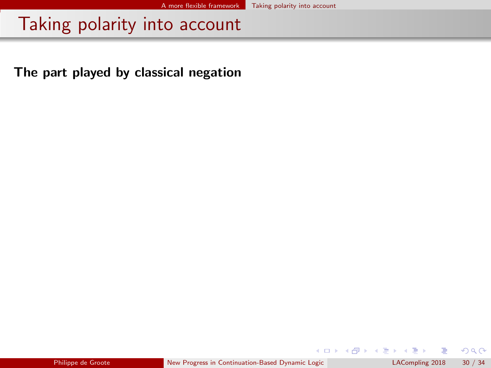<span id="page-128-0"></span>The part played by classical negation

 $299$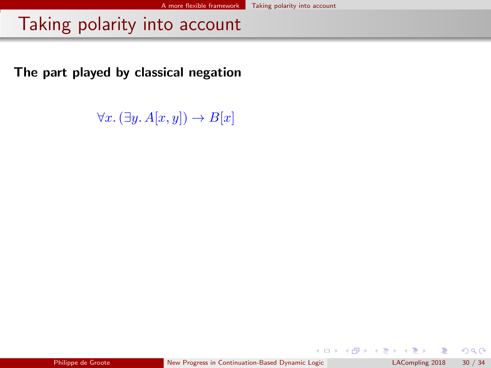<span id="page-129-0"></span>The part played by classical negation

 $\forall x. (\exists y. A[x, y]) \rightarrow B[x]$ 

 $\equiv$ 

 $299$ 

**K ロ ト K 何 ト K ヨ ト K**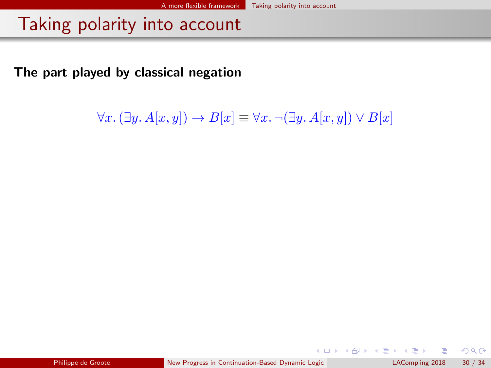<span id="page-130-0"></span>The part played by classical negation

 $\forall x. (\exists y. A[x, y]) \rightarrow B[x] \equiv \forall x. \neg (\exists y. A[x, y]) \vee B[x]$ 

 $299$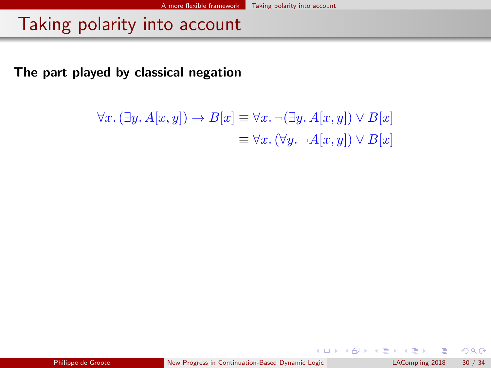<span id="page-131-0"></span>The part played by classical negation

$$
\forall x. (\exists y. A[x, y]) \rightarrow B[x] \equiv \forall x. \neg (\exists y. A[x, y]) \lor B[x]
$$

$$
\equiv \forall x. (\forall y. \neg A[x, y]) \lor B[x]
$$

 $299$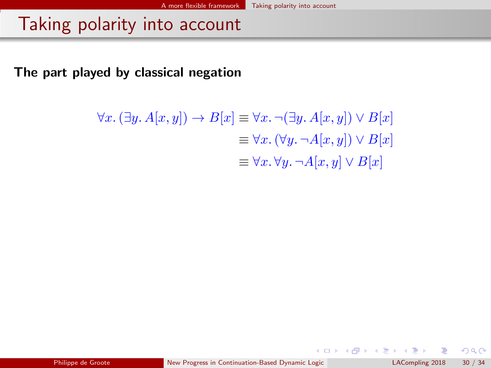<span id="page-132-0"></span>The part played by classical negation

$$
\forall x. (\exists y. A[x, y]) \rightarrow B[x] \equiv \forall x. \neg(\exists y. A[x, y]) \vee B[x]
$$

$$
\equiv \forall x. (\forall y. \neg A[x, y]) \vee B[x]
$$

$$
\equiv \forall x. \forall y. \neg A[x, y] \vee B[x]
$$

 $299$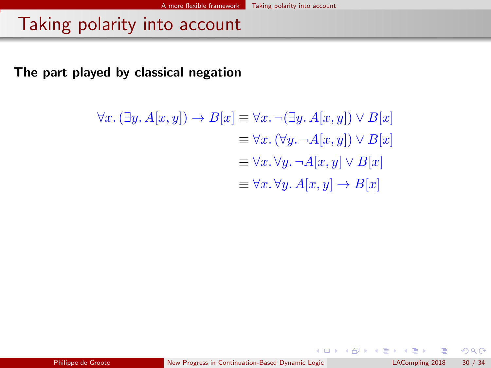<span id="page-133-0"></span>The part played by classical negation

$$
\forall x. (\exists y. A[x, y]) \rightarrow B[x] \equiv \forall x. \neg(\exists y. A[x, y]) \lor B[x]
$$

$$
\equiv \forall x. (\forall y. \neg A[x, y]) \lor B[x]
$$

$$
\equiv \forall x. (\forall y. \neg A[x, y]) \lor B[x]
$$

$$
\equiv \forall x. \forall y. \neg A[x, y] \rightarrow B[x]
$$

舌

 $299$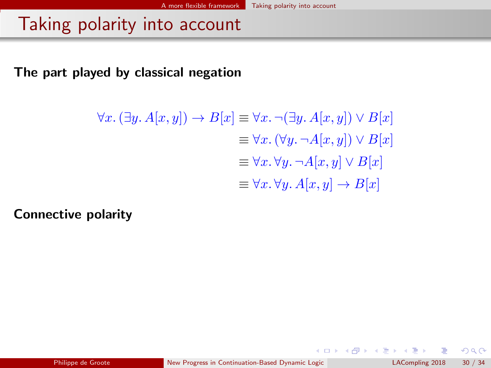<span id="page-134-0"></span>The part played by classical negation

$$
\forall x. (\exists y. A[x, y]) \rightarrow B[x] \equiv \forall x. \neg(\exists y. A[x, y]) \lor B[x]
$$

$$
\equiv \forall x. (\forall y. \neg A[x, y]) \lor B[x]
$$

$$
\equiv \forall x. (\forall y. \neg A[x, y]) \lor B[x]
$$

$$
\equiv \forall x. \forall y. A[x, y] \rightarrow B[x]
$$

Connective polarity

 $299$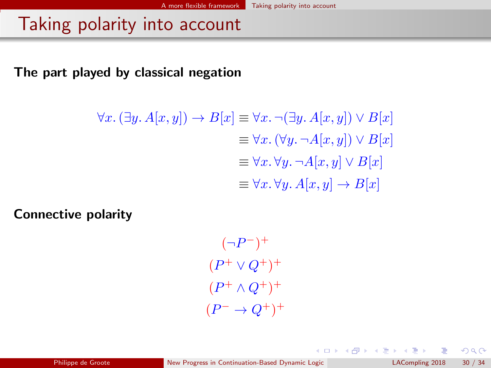<span id="page-135-0"></span>The part played by classical negation

$$
\forall x. (\exists y. A[x, y]) \rightarrow B[x] \equiv \forall x. \neg(\exists y. A[x, y]) \lor B[x]
$$

$$
\equiv \forall x. (\forall y. \neg A[x, y]) \lor B[x]
$$

$$
\equiv \forall x. (\forall y. \neg A[x, y]) \lor B[x]
$$

$$
\equiv \forall x. \forall y. A[x, y] \rightarrow B[x]
$$

Connective polarity

 $(\neg P^{-})^{+}$  $(P^+ \vee Q^+)^+$  $(P^+ \wedge Q^+)^+$  $(P^- \to Q^+)^+$ 

 $QQ$ 

メロメ メ御き メミメ メミメ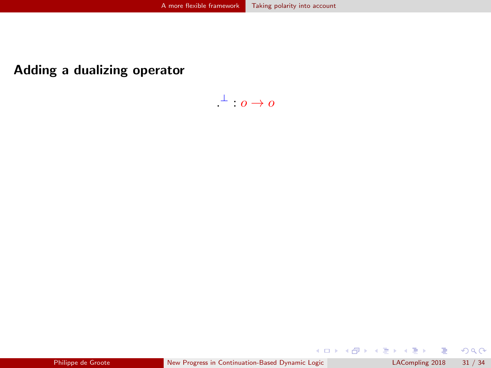### <span id="page-136-0"></span>Adding a dualizing operator

 $\perp$  :  $o \rightarrow o$ 

 $299$ 

イロト イ部ト イミト イミト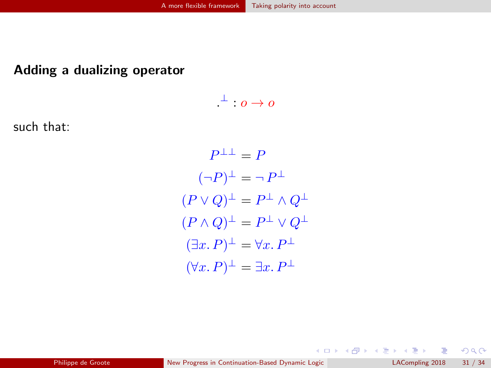#### <span id="page-137-0"></span>Adding a dualizing operator

 $\perp$  :  $o \rightarrow o$ 

such that:

 $P^{\perp\perp} = P$  $(\neg P)^{\perp} = \neg P^{\perp}$  $(P \vee Q)^{\perp} = P^{\perp} \wedge Q^{\perp}$  $(P \wedge Q)^{\perp} = P^{\perp} \vee Q^{\perp}$  $(\exists x. P)^{\perp} = \forall x. P^{\perp}$  $(\forall x. P)^{\perp} = \exists x. P^{\perp}$ 

 $299$ 

メロメ メ御き メミメ メミメ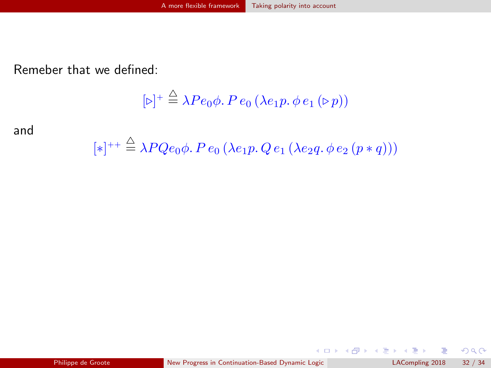<span id="page-138-0"></span>Remeber that we defined:

$$
[\triangleright]^+\stackrel{\Delta}{=} \lambda Pe_0\phi. \,Pe_0\,(\lambda e_1 p. \, \phi \, e_1 \, (\triangleright p))
$$

and

$$
[*]^{++} \stackrel{\Delta}{=} \lambda P Q e_0 \phi. P e_0 (\lambda e_1 p. Q e_1 (\lambda e_2 q. \phi e_2 (p * q)))
$$

 $299$ 

**K ロ ト K 御 ト K 澄 ト K 差 ト**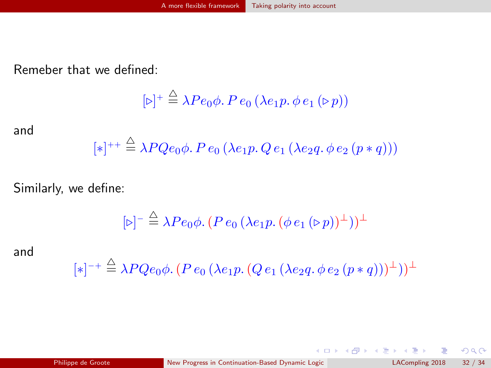<span id="page-139-0"></span>Remeber that we defined:

$$
[\triangleright]^+\stackrel{\Delta}{=} \lambda Pe_0\phi. \,Pe_0\,(\lambda e_1 p. \, \phi \, e_1 \, (\triangleright p))
$$

and

$$
[*]^{++} \stackrel{\Delta}{=} \lambda P Q e_0 \phi. P e_0 (\lambda e_1 p. Q e_1 (\lambda e_2 q. \phi e_2 (p * q)))
$$

Similarly, we define:

$$
[\triangleright]^{-} \stackrel{\Delta}{=} \lambda P e_0 \phi. (P e_0 (\lambda e_1 p. (\phi e_1 (\triangleright p)))^{\perp}))^{\perp}
$$

and

$$
[*]^{-+} \stackrel{\Delta}{=} \lambda PQe_0\phi. (P e_0 (\lambda e_1 p. (Q e_1 (\lambda e_2 q. \phi e_2 (p * q)))^{\perp}))^{\perp}
$$

 $299$ 

イロト イ部ト イミト イミト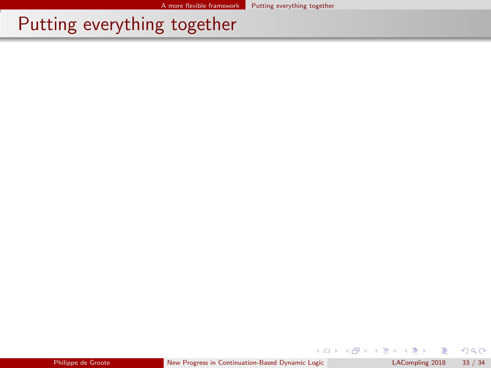$\equiv$ 

 $299$ 

<span id="page-140-0"></span>メロトメ 御下 メミトメ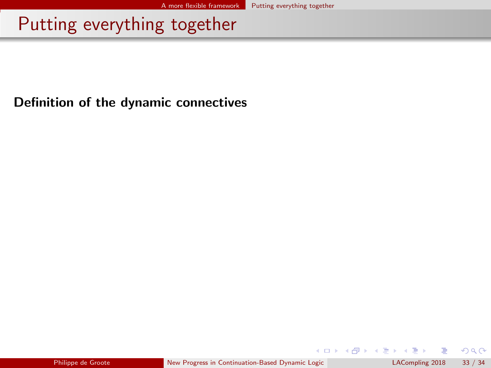<span id="page-141-0"></span>Definition of the dynamic connectives

 $299$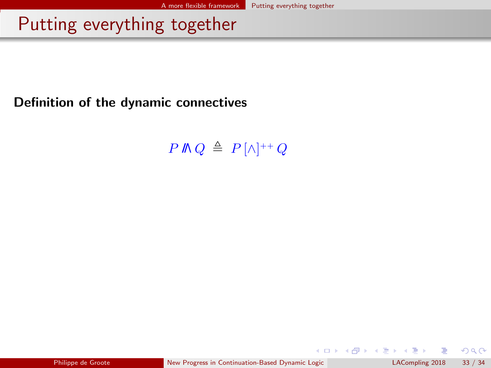<span id="page-142-0"></span>Definition of the dynamic connectives

P  $\mathbb{M} Q \triangleq P[\wedge]^{++} Q$ 

 $299$ 

メロト メ御 トメ きょ メきょ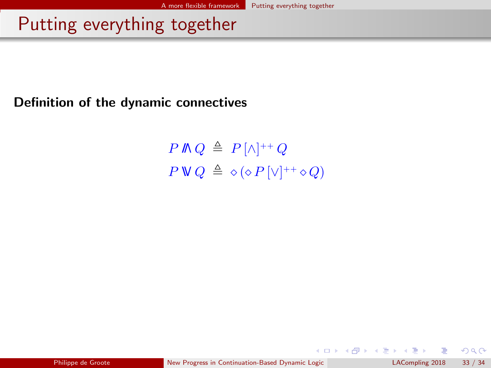<span id="page-143-0"></span>Definition of the dynamic connectives

P  $\mathbb{M} Q \triangleq P[\wedge]^{++} Q$  $P \mathbb{V} Q \triangleq \diamond ( \diamond P [\vee]^{++} \diamond Q )$ 

メロト メ母 トメミト メミト

 $QQ$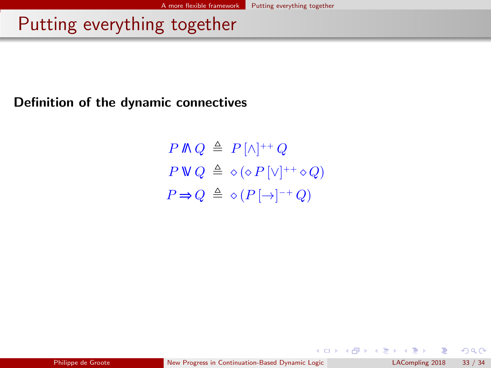<span id="page-144-0"></span>Definition of the dynamic connectives

P  $\mathbb{M} Q \triangleq P[\wedge]^{++} Q$  $P \mathbb{V} Q \triangleq \diamond ( \diamond P [\vee]^{++} \diamond Q )$  $P \Rightarrow Q \triangleq \diamond (P[\rightarrow]^{-+} Q)$ 

メロト メ母 トメミト メミト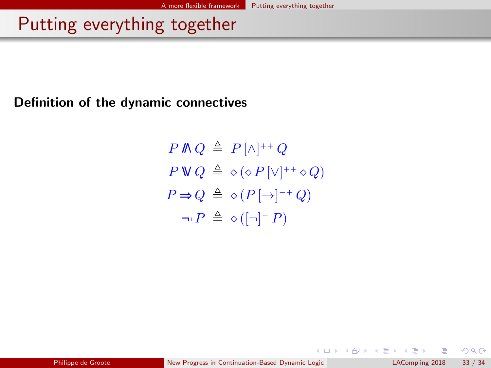<span id="page-145-0"></span>Definition of the dynamic connectives

P  $\mathbb{M} Q \triangleq P[\wedge]^{++} Q$  $P \mathbb{V} Q \triangleq \diamond ( \diamond P [\vee]^{++} \diamond Q )$  $P \Rightarrow Q \triangleq \diamond (P[\rightarrow]^{-+} Q)$  $P \triangleq \diamond ([\neg]^{-} P)$ 

メロト メ母 トメミト メミト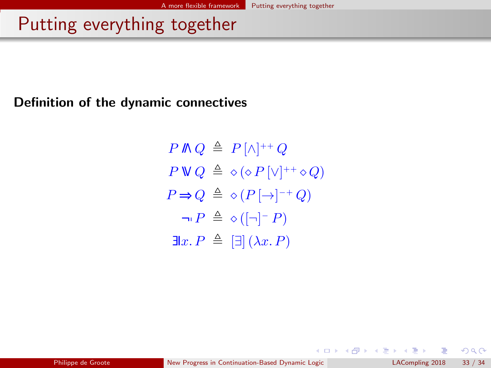<span id="page-146-0"></span>Definition of the dynamic connectives

P  $\mathbb{M} Q \triangleq P[\wedge]^{++} Q$  $P \mathbb{V} Q \triangleq \diamond ( \diamond P [\vee]^{++} \diamond Q )$  $P \Rightarrow Q \triangleq \diamond (P[\rightarrow]^{-+} Q)$  $P \triangleq \diamond ([\neg]^{-} P)$  $\exists x. P \triangleq [\exists] (\lambda x. P)$ 

メロト メ母 トメミト メミト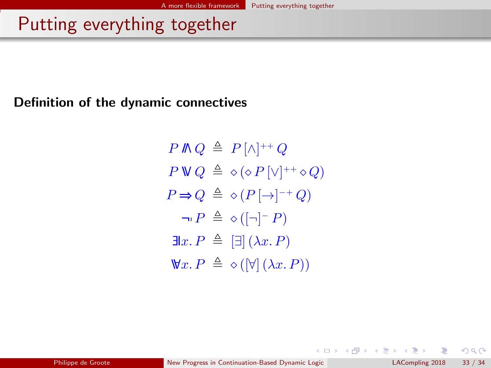<span id="page-147-0"></span>Definition of the dynamic connectives

P  $\mathbb{M} Q \triangleq P[\wedge]^{++} Q$  $P \mathbb{V} Q \triangleq \diamond ( \diamond P [\vee]^{++} \diamond Q )$  $P \Rightarrow Q \triangleq \diamond (P[\rightarrow]^{-+} Q)$  $P \triangleq \diamond ([\neg]^{-} P)$  $\exists x. P \triangleq [\exists] (\lambda x. P)$  $\forall x. P \triangleq \diamond ( [\forall ] (\lambda x. P))$ 

メロト メ母 トメミト メミト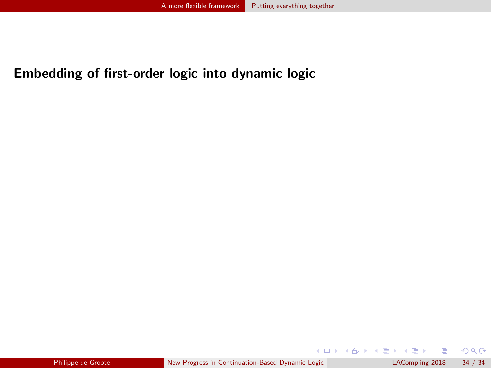### <span id="page-148-0"></span>Embedding of first-order logic into dynamic logic

 $299$ 

イロト イ部ト イ君ト イ君)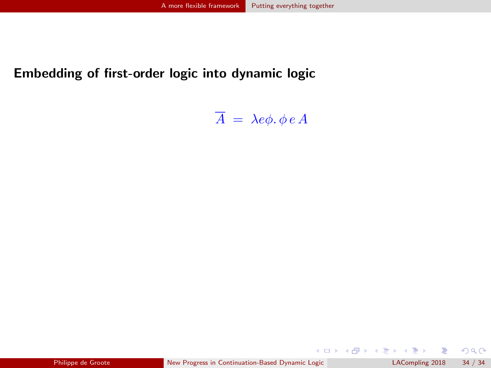### <span id="page-149-0"></span>Embedding of first-order logic into dynamic logic

 $\overline{A} = \lambda e \phi \cdot \phi e A$ 

 $299$ 

イロト イ部ト イミト イミト